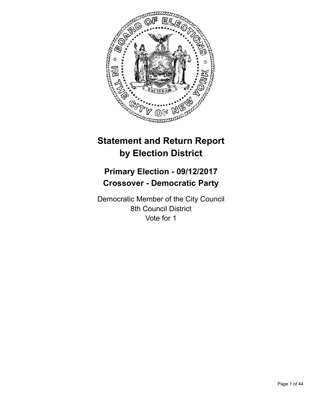

# **Statement and Return Report by Election District**

# **Primary Election - 09/12/2017 Crossover - Democratic Party**

Democratic Member of the City Council 8th Council District Vote for 1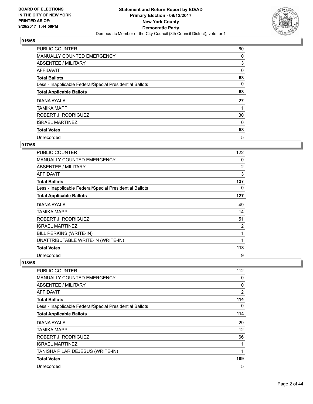

| PUBLIC COUNTER                                           | 60 |
|----------------------------------------------------------|----|
| <b>MANUALLY COUNTED EMERGENCY</b>                        | 0  |
| ABSENTEE / MILITARY                                      | 3  |
| AFFIDAVIT                                                | 0  |
| <b>Total Ballots</b>                                     | 63 |
| Less - Inapplicable Federal/Special Presidential Ballots | 0  |
| <b>Total Applicable Ballots</b>                          | 63 |
| DIANA AYALA                                              | 27 |
| <b>TAMIKA MAPP</b>                                       |    |
| ROBERT J. RODRIGUEZ                                      | 30 |
| <b>ISRAEL MARTINEZ</b>                                   | 0  |
| <b>Total Votes</b>                                       | 58 |
| Unrecorded                                               | 5  |

# **017/68**

| <b>PUBLIC COUNTER</b>                                    | 122            |
|----------------------------------------------------------|----------------|
| MANUALLY COUNTED EMERGENCY                               | 0              |
| ABSENTEE / MILITARY                                      | $\overline{2}$ |
| AFFIDAVIT                                                | 3              |
| <b>Total Ballots</b>                                     | 127            |
| Less - Inapplicable Federal/Special Presidential Ballots | 0              |
| <b>Total Applicable Ballots</b>                          | 127            |
| DIANA AYALA                                              | 49             |
| TAMIKA MAPP                                              | 14             |
| ROBERT J. RODRIGUEZ                                      | 51             |
| <b>ISRAEL MARTINEZ</b>                                   | 2              |
| BILL PERKINS (WRITE-IN)                                  | 1              |
| UNATTRIBUTABLE WRITE-IN (WRITE-IN)                       | 1              |
| <b>Total Votes</b>                                       | 118            |
| Unrecorded                                               | 9              |

| <b>PUBLIC COUNTER</b>                                    | 112 |
|----------------------------------------------------------|-----|
| <b>MANUALLY COUNTED EMERGENCY</b>                        | 0   |
| ABSENTEE / MILITARY                                      | 0   |
| <b>AFFIDAVIT</b>                                         | 2   |
| <b>Total Ballots</b>                                     | 114 |
| Less - Inapplicable Federal/Special Presidential Ballots | 0   |
| <b>Total Applicable Ballots</b>                          | 114 |
| DIANA AYALA                                              | 29  |
| TAMIKA MAPP                                              | 12  |
| ROBERT J. RODRIGUEZ                                      | 66  |
| <b>ISRAEL MARTINEZ</b>                                   | 1   |
| TANISHA PILAR DEJESUS (WRITE-IN)                         | 1   |
| <b>Total Votes</b>                                       | 109 |
| Unrecorded                                               | 5   |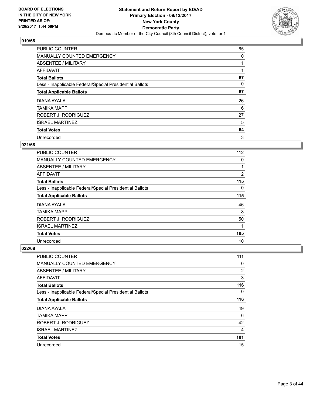

| <b>PUBLIC COUNTER</b>                                    | 65 |
|----------------------------------------------------------|----|
| MANUALLY COUNTED EMERGENCY                               | 0  |
| ABSENTEE / MILITARY                                      |    |
| AFFIDAVIT                                                |    |
| <b>Total Ballots</b>                                     | 67 |
| Less - Inapplicable Federal/Special Presidential Ballots | 0  |
| <b>Total Applicable Ballots</b>                          | 67 |
| DIANA AYALA                                              | 26 |
| <b>TAMIKA MAPP</b>                                       | 6  |
| ROBERT J. RODRIGUEZ                                      | 27 |
| <b>ISRAEL MARTINEZ</b>                                   | 5  |
| <b>Total Votes</b>                                       | 64 |
| Unrecorded                                               | 3  |

# **021/68**

| <b>PUBLIC COUNTER</b>                                    | 112 |
|----------------------------------------------------------|-----|
| <b>MANUALLY COUNTED EMERGENCY</b>                        | 0   |
| ABSENTEE / MILITARY                                      |     |
| <b>AFFIDAVIT</b>                                         | 2   |
| <b>Total Ballots</b>                                     | 115 |
| Less - Inapplicable Federal/Special Presidential Ballots | 0   |
| <b>Total Applicable Ballots</b>                          | 115 |
| DIANA AYALA                                              | 46  |
| TAMIKA MAPP                                              | 8   |
| ROBERT J. RODRIGUEZ                                      | 50  |
| <b>ISRAEL MARTINEZ</b>                                   |     |
| <b>Total Votes</b>                                       | 105 |
| Unrecorded                                               | 10  |

| PUBLIC COUNTER                                           | 111 |
|----------------------------------------------------------|-----|
| <b>MANUALLY COUNTED EMERGENCY</b>                        | 0   |
| ABSENTEE / MILITARY                                      | 2   |
| AFFIDAVIT                                                | 3   |
| <b>Total Ballots</b>                                     | 116 |
| Less - Inapplicable Federal/Special Presidential Ballots | 0   |
| <b>Total Applicable Ballots</b>                          | 116 |
| DIANA AYALA                                              | 49  |
| <b>TAMIKA MAPP</b>                                       | 6   |
| ROBERT J. RODRIGUEZ                                      | 42  |
| <b>ISRAEL MARTINEZ</b>                                   | 4   |
| <b>Total Votes</b>                                       | 101 |
| Unrecorded                                               | 15  |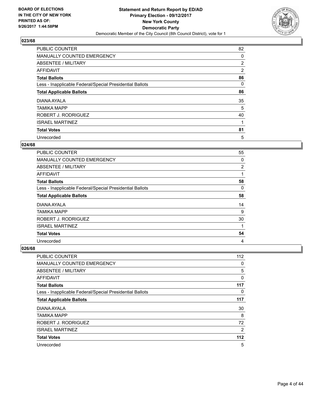

| PUBLIC COUNTER                                           | 82             |
|----------------------------------------------------------|----------------|
| <b>MANUALLY COUNTED EMERGENCY</b>                        | 0              |
| ABSENTEE / MILITARY                                      | $\overline{2}$ |
| AFFIDAVIT                                                | $\overline{2}$ |
| <b>Total Ballots</b>                                     | 86             |
| Less - Inapplicable Federal/Special Presidential Ballots | 0              |
| <b>Total Applicable Ballots</b>                          | 86             |
| DIANA AYALA                                              | 35             |
| <b>TAMIKA MAPP</b>                                       | 5              |
| ROBERT J. RODRIGUEZ                                      | 40             |
| <b>ISRAEL MARTINEZ</b>                                   |                |
| <b>Total Votes</b>                                       | 81             |
| Unrecorded                                               | 5              |

# **024/68**

| <b>PUBLIC COUNTER</b>                                    | 55 |
|----------------------------------------------------------|----|
| <b>MANUALLY COUNTED EMERGENCY</b>                        | 0  |
| ABSENTEE / MILITARY                                      | 2  |
| <b>AFFIDAVIT</b>                                         | 1  |
| <b>Total Ballots</b>                                     | 58 |
| Less - Inapplicable Federal/Special Presidential Ballots | 0  |
| <b>Total Applicable Ballots</b>                          | 58 |
| DIANA AYALA                                              | 14 |
| TAMIKA MAPP                                              | 9  |
| ROBERT J. RODRIGUEZ                                      | 30 |
| <b>ISRAEL MARTINEZ</b>                                   |    |
| <b>Total Votes</b>                                       | 54 |
| Unrecorded                                               | 4  |

| <b>PUBLIC COUNTER</b>                                    | 112            |
|----------------------------------------------------------|----------------|
| <b>MANUALLY COUNTED EMERGENCY</b>                        | 0              |
| ABSENTEE / MILITARY                                      | 5              |
| AFFIDAVIT                                                | 0              |
| <b>Total Ballots</b>                                     | 117            |
| Less - Inapplicable Federal/Special Presidential Ballots | 0              |
| <b>Total Applicable Ballots</b>                          | 117            |
| DIANA AYALA                                              | 30             |
| <b>TAMIKA MAPP</b>                                       | 8              |
| ROBERT J. RODRIGUEZ                                      | 72             |
| <b>ISRAEL MARTINEZ</b>                                   | $\overline{2}$ |
| <b>Total Votes</b>                                       | 112            |
| Unrecorded                                               | 5              |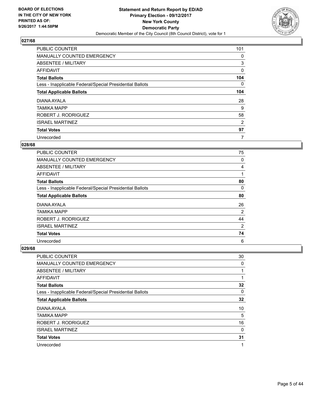

| <b>PUBLIC COUNTER</b>                                    | 101 |
|----------------------------------------------------------|-----|
| MANUALLY COUNTED EMERGENCY                               | 0   |
| ABSENTEE / MILITARY                                      | 3   |
| AFFIDAVIT                                                | 0   |
| <b>Total Ballots</b>                                     | 104 |
| Less - Inapplicable Federal/Special Presidential Ballots | 0   |
| <b>Total Applicable Ballots</b>                          | 104 |
| DIANA AYALA                                              | 28  |
| <b>TAMIKA MAPP</b>                                       | 9   |
| ROBERT J. RODRIGUEZ                                      | 58  |
| <b>ISRAEL MARTINEZ</b>                                   | 2   |
| <b>Total Votes</b>                                       | 97  |
| Unrecorded                                               | 7   |

## **028/68**

| <b>PUBLIC COUNTER</b>                                    | 75             |
|----------------------------------------------------------|----------------|
| MANUALLY COUNTED EMERGENCY                               | 0              |
| ABSENTEE / MILITARY                                      | 4              |
| <b>AFFIDAVIT</b>                                         | 1              |
| <b>Total Ballots</b>                                     | 80             |
| Less - Inapplicable Federal/Special Presidential Ballots | 0              |
| <b>Total Applicable Ballots</b>                          | 80             |
| DIANA AYALA                                              | 26             |
| TAMIKA MAPP                                              | $\overline{2}$ |
| ROBERT J. RODRIGUEZ                                      | 44             |
| <b>ISRAEL MARTINEZ</b>                                   | 2              |
| <b>Total Votes</b>                                       | 74             |
| Unrecorded                                               | 6              |

| PUBLIC COUNTER                                           | 30 |
|----------------------------------------------------------|----|
| <b>MANUALLY COUNTED EMERGENCY</b>                        | 0  |
| ABSENTEE / MILITARY                                      | 1  |
| AFFIDAVIT                                                |    |
| <b>Total Ballots</b>                                     | 32 |
| Less - Inapplicable Federal/Special Presidential Ballots | 0  |
| <b>Total Applicable Ballots</b>                          | 32 |
| DIANA AYALA                                              | 10 |
| <b>TAMIKA MAPP</b>                                       | 5  |
| ROBERT J. RODRIGUEZ                                      | 16 |
| <b>ISRAEL MARTINEZ</b>                                   | 0  |
| <b>Total Votes</b>                                       | 31 |
| Unrecorded                                               | 1  |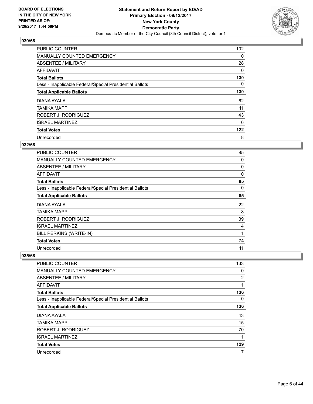

| <b>PUBLIC COUNTER</b>                                    | 102 |
|----------------------------------------------------------|-----|
| MANUALLY COUNTED EMERGENCY                               | 0   |
| ABSENTEE / MILITARY                                      | 28  |
| AFFIDAVIT                                                | 0   |
| <b>Total Ballots</b>                                     | 130 |
| Less - Inapplicable Federal/Special Presidential Ballots | 0   |
| <b>Total Applicable Ballots</b>                          | 130 |
| DIANA AYALA                                              | 62  |
| <b>TAMIKA MAPP</b>                                       | 11  |
| ROBERT J. RODRIGUEZ                                      | 43  |
| <b>ISRAEL MARTINEZ</b>                                   | 6   |
| <b>Total Votes</b>                                       | 122 |
| Unrecorded                                               | 8   |

# **032/68**

| PUBLIC COUNTER                                           | 85 |
|----------------------------------------------------------|----|
| <b>MANUALLY COUNTED EMERGENCY</b>                        | 0  |
| ABSENTEE / MILITARY                                      | 0  |
| AFFIDAVIT                                                | 0  |
| <b>Total Ballots</b>                                     | 85 |
| Less - Inapplicable Federal/Special Presidential Ballots | 0  |
| <b>Total Applicable Ballots</b>                          | 85 |
| DIANA AYALA                                              | 22 |
| TAMIKA MAPP                                              | 8  |
| ROBERT J. RODRIGUEZ                                      | 39 |
| <b>ISRAEL MARTINEZ</b>                                   | 4  |
| BILL PERKINS (WRITE-IN)                                  | 1  |
| <b>Total Votes</b>                                       | 74 |
| Unrecorded                                               | 11 |

| PUBLIC COUNTER                                           | 133      |
|----------------------------------------------------------|----------|
| <b>MANUALLY COUNTED EMERGENCY</b>                        | 0        |
| ABSENTEE / MILITARY                                      | 2        |
| AFFIDAVIT                                                |          |
| <b>Total Ballots</b>                                     | 136      |
| Less - Inapplicable Federal/Special Presidential Ballots | $\Omega$ |
| <b>Total Applicable Ballots</b>                          | 136      |
| DIANA AYALA                                              | 43       |
| <b>TAMIKA MAPP</b>                                       | 15       |
| ROBERT J. RODRIGUEZ                                      | 70       |
| <b>ISRAEL MARTINEZ</b>                                   | 1        |
| <b>Total Votes</b>                                       | 129      |
| Unrecorded                                               | 7        |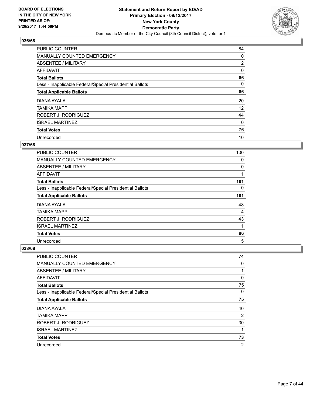

| <b>PUBLIC COUNTER</b>                                    | 84             |
|----------------------------------------------------------|----------------|
| MANUALLY COUNTED EMERGENCY                               | 0              |
| ABSENTEE / MILITARY                                      | $\overline{2}$ |
| <b>AFFIDAVIT</b>                                         | 0              |
| <b>Total Ballots</b>                                     | 86             |
| Less - Inapplicable Federal/Special Presidential Ballots | 0              |
| <b>Total Applicable Ballots</b>                          | 86             |
| DIANA AYALA                                              | 20             |
| <b>TAMIKA MAPP</b>                                       | 12             |
| ROBERT J. RODRIGUEZ                                      | 44             |
| <b>ISRAEL MARTINEZ</b>                                   | 0              |
| <b>Total Votes</b>                                       | 76             |
| Unrecorded                                               | 10             |

## **037/68**

| PUBLIC COUNTER                                           | 100 |
|----------------------------------------------------------|-----|
| <b>MANUALLY COUNTED EMERGENCY</b>                        | 0   |
| ABSENTEE / MILITARY                                      | 0   |
| <b>AFFIDAVIT</b>                                         | 1   |
| <b>Total Ballots</b>                                     | 101 |
| Less - Inapplicable Federal/Special Presidential Ballots | 0   |
| <b>Total Applicable Ballots</b>                          | 101 |
| DIANA AYALA                                              | 48  |
| <b>TAMIKA MAPP</b>                                       | 4   |
| ROBERT J. RODRIGUEZ                                      | 43  |
| <b>ISRAEL MARTINEZ</b>                                   | 1   |
| <b>Total Votes</b>                                       | 96  |
| Unrecorded                                               | 5   |

| <b>PUBLIC COUNTER</b>                                    | 74             |
|----------------------------------------------------------|----------------|
| <b>MANUALLY COUNTED EMERGENCY</b>                        | 0              |
| ABSENTEE / MILITARY                                      | 1              |
| AFFIDAVIT                                                | 0              |
| <b>Total Ballots</b>                                     | 75             |
| Less - Inapplicable Federal/Special Presidential Ballots | 0              |
| <b>Total Applicable Ballots</b>                          | 75             |
| DIANA AYALA                                              | 40             |
| <b>TAMIKA MAPP</b>                                       | $\overline{2}$ |
| ROBERT J. RODRIGUEZ                                      | 30             |
| <b>ISRAEL MARTINEZ</b>                                   | 1              |
| <b>Total Votes</b>                                       | 73             |
| Unrecorded                                               | $\overline{2}$ |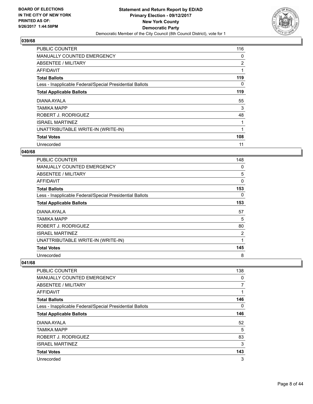

| <b>PUBLIC COUNTER</b>                                    | 116            |
|----------------------------------------------------------|----------------|
| <b>MANUALLY COUNTED EMERGENCY</b>                        | 0              |
| ABSENTEE / MILITARY                                      | $\overline{2}$ |
| AFFIDAVIT                                                | 1              |
| <b>Total Ballots</b>                                     | 119            |
| Less - Inapplicable Federal/Special Presidential Ballots | 0              |
| <b>Total Applicable Ballots</b>                          | 119            |
| DIANA AYALA                                              | 55             |
| TAMIKA MAPP                                              | 3              |
| ROBERT J. RODRIGUEZ                                      | 48             |
| <b>ISRAEL MARTINEZ</b>                                   |                |
| UNATTRIBUTABLE WRITE-IN (WRITE-IN)                       |                |
| <b>Total Votes</b>                                       | 108            |
| Unrecorded                                               | 11             |

# **040/68**

| <b>PUBLIC COUNTER</b>                                    | 148 |
|----------------------------------------------------------|-----|
| <b>MANUALLY COUNTED EMERGENCY</b>                        | 0   |
| <b>ABSENTEE / MILITARY</b>                               | 5   |
| AFFIDAVIT                                                | 0   |
| <b>Total Ballots</b>                                     | 153 |
| Less - Inapplicable Federal/Special Presidential Ballots | 0   |
| <b>Total Applicable Ballots</b>                          | 153 |
| DIANA AYALA                                              | 57  |
| TAMIKA MAPP                                              | 5   |
| ROBERT J. RODRIGUEZ                                      | 80  |
| <b>ISRAEL MARTINEZ</b>                                   | 2   |
| UNATTRIBUTABLE WRITE-IN (WRITE-IN)                       | 1   |
| <b>Total Votes</b>                                       | 145 |
|                                                          |     |

| <b>PUBLIC COUNTER</b>                                    | 138 |
|----------------------------------------------------------|-----|
| <b>MANUALLY COUNTED EMERGENCY</b>                        | 0   |
| ABSENTEE / MILITARY                                      | 7   |
| <b>AFFIDAVIT</b>                                         | 1   |
| <b>Total Ballots</b>                                     | 146 |
| Less - Inapplicable Federal/Special Presidential Ballots | 0   |
| <b>Total Applicable Ballots</b>                          | 146 |
| DIANA AYALA                                              | 52  |
| <b>TAMIKA MAPP</b>                                       | 5   |
| ROBERT J. RODRIGUEZ                                      | 83  |
| <b>ISRAEL MARTINEZ</b>                                   | 3   |
| <b>Total Votes</b>                                       | 143 |
| Unrecorded                                               | 3   |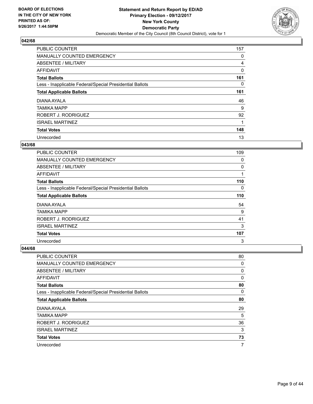

| <b>PUBLIC COUNTER</b>                                    | 157 |
|----------------------------------------------------------|-----|
| MANUALLY COUNTED EMERGENCY                               | 0   |
| ABSENTEE / MILITARY                                      | 4   |
| AFFIDAVIT                                                | 0   |
| <b>Total Ballots</b>                                     | 161 |
| Less - Inapplicable Federal/Special Presidential Ballots | 0   |
| <b>Total Applicable Ballots</b>                          | 161 |
| DIANA AYALA                                              | 46  |
| <b>TAMIKA MAPP</b>                                       | 9   |
| ROBERT J. RODRIGUEZ                                      | 92  |
| <b>ISRAEL MARTINEZ</b>                                   | 1   |
| <b>Total Votes</b>                                       | 148 |
| Unrecorded                                               | 13  |

## **043/68**

| <b>PUBLIC COUNTER</b>                                    | 109 |
|----------------------------------------------------------|-----|
| <b>MANUALLY COUNTED EMERGENCY</b>                        | 0   |
| ABSENTEE / MILITARY                                      | 0   |
| <b>AFFIDAVIT</b>                                         |     |
| <b>Total Ballots</b>                                     | 110 |
| Less - Inapplicable Federal/Special Presidential Ballots | 0   |
| <b>Total Applicable Ballots</b>                          | 110 |
| DIANA AYALA                                              | 54  |
| <b>TAMIKA MAPP</b>                                       | 9   |
| ROBERT J. RODRIGUEZ                                      | 41  |
| <b>ISRAEL MARTINEZ</b>                                   | 3   |
| <b>Total Votes</b>                                       | 107 |
| Unrecorded                                               | 3   |

| <b>PUBLIC COUNTER</b>                                    | 80 |
|----------------------------------------------------------|----|
| <b>MANUALLY COUNTED EMERGENCY</b>                        | 0  |
| ABSENTEE / MILITARY                                      | 0  |
| AFFIDAVIT                                                | 0  |
| <b>Total Ballots</b>                                     | 80 |
| Less - Inapplicable Federal/Special Presidential Ballots | 0  |
| <b>Total Applicable Ballots</b>                          | 80 |
| DIANA AYALA                                              | 29 |
| <b>TAMIKA MAPP</b>                                       | 5  |
| ROBERT J. RODRIGUEZ                                      | 36 |
| <b>ISRAEL MARTINEZ</b>                                   | 3  |
| <b>Total Votes</b>                                       | 73 |
| Unrecorded                                               | 7  |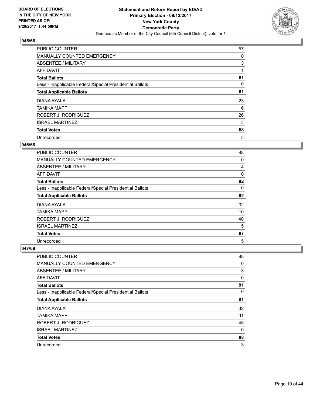

| PUBLIC COUNTER                                           | 57 |
|----------------------------------------------------------|----|
| <b>MANUALLY COUNTED EMERGENCY</b>                        | 0  |
| ABSENTEE / MILITARY                                      | 3  |
| AFFIDAVIT                                                |    |
| <b>Total Ballots</b>                                     | 61 |
| Less - Inapplicable Federal/Special Presidential Ballots | 0  |
| <b>Total Applicable Ballots</b>                          | 61 |
| DIANA AYALA                                              | 23 |
| <b>TAMIKA MAPP</b>                                       | 6  |
| ROBERT J. RODRIGUEZ                                      | 26 |
| <b>ISRAEL MARTINEZ</b>                                   | 3  |
| <b>Total Votes</b>                                       | 58 |
| Unrecorded                                               | 3  |

## **046/68**

| <b>PUBLIC COUNTER</b>                                    | 88 |
|----------------------------------------------------------|----|
| <b>MANUALLY COUNTED EMERGENCY</b>                        | 0  |
| ABSENTEE / MILITARY                                      | 4  |
| <b>AFFIDAVIT</b>                                         | 0  |
| <b>Total Ballots</b>                                     | 92 |
| Less - Inapplicable Federal/Special Presidential Ballots | 0  |
| <b>Total Applicable Ballots</b>                          | 92 |
| DIANA AYALA                                              | 32 |
| TAMIKA MAPP                                              | 10 |
| ROBERT J. RODRIGUEZ                                      | 40 |
| <b>ISRAEL MARTINEZ</b>                                   | 5  |
| <b>Total Votes</b>                                       | 87 |
| Unrecorded                                               | 5  |

| PUBLIC COUNTER                                           | 88 |
|----------------------------------------------------------|----|
| <b>MANUALLY COUNTED EMERGENCY</b>                        | 0  |
| ABSENTEE / MILITARY                                      | 3  |
| AFFIDAVIT                                                | 0  |
| <b>Total Ballots</b>                                     | 91 |
| Less - Inapplicable Federal/Special Presidential Ballots | 0  |
| <b>Total Applicable Ballots</b>                          | 91 |
| DIANA AYALA                                              | 32 |
| <b>TAMIKA MAPP</b>                                       | 11 |
| ROBERT J. RODRIGUEZ                                      | 45 |
| <b>ISRAEL MARTINEZ</b>                                   | 0  |
| <b>Total Votes</b>                                       | 88 |
| Unrecorded                                               | 3  |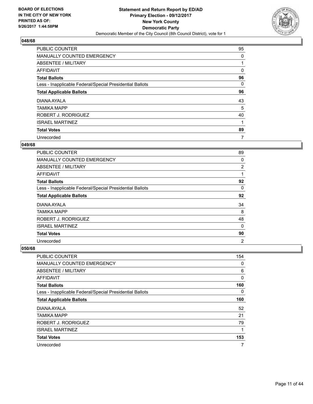

| <b>PUBLIC COUNTER</b>                                    | 95 |
|----------------------------------------------------------|----|
| MANUALLY COUNTED EMERGENCY                               | 0  |
| ABSENTEE / MILITARY                                      |    |
| AFFIDAVIT                                                | 0  |
| <b>Total Ballots</b>                                     | 96 |
| Less - Inapplicable Federal/Special Presidential Ballots | 0  |
| <b>Total Applicable Ballots</b>                          | 96 |
| DIANA AYALA                                              | 43 |
| <b>TAMIKA MAPP</b>                                       | 5  |
| ROBERT J. RODRIGUEZ                                      | 40 |
| <b>ISRAEL MARTINEZ</b>                                   |    |
| <b>Total Votes</b>                                       | 89 |
| Unrecorded                                               | 7  |

# **049/68**

| <b>PUBLIC COUNTER</b>                                    | 89             |
|----------------------------------------------------------|----------------|
| <b>MANUALLY COUNTED EMERGENCY</b>                        | $\Omega$       |
| ABSENTEE / MILITARY                                      | 2              |
| <b>AFFIDAVIT</b>                                         | 1              |
| <b>Total Ballots</b>                                     | 92             |
| Less - Inapplicable Federal/Special Presidential Ballots | 0              |
| <b>Total Applicable Ballots</b>                          | 92             |
| DIANA AYALA                                              | 34             |
| TAMIKA MAPP                                              | 8              |
| ROBERT J. RODRIGUEZ                                      | 48             |
| <b>ISRAEL MARTINEZ</b>                                   | $\mathbf 0$    |
| <b>Total Votes</b>                                       | 90             |
| Unrecorded                                               | $\overline{2}$ |

| PUBLIC COUNTER                                           | 154 |
|----------------------------------------------------------|-----|
| <b>MANUALLY COUNTED EMERGENCY</b>                        | 0   |
| ABSENTEE / MILITARY                                      | 6   |
| AFFIDAVIT                                                | 0   |
| <b>Total Ballots</b>                                     | 160 |
| Less - Inapplicable Federal/Special Presidential Ballots | 0   |
| <b>Total Applicable Ballots</b>                          | 160 |
| DIANA AYALA                                              | 52  |
| <b>TAMIKA MAPP</b>                                       | 21  |
| ROBERT J. RODRIGUEZ                                      | 79  |
| <b>ISRAEL MARTINEZ</b>                                   | 1   |
| <b>Total Votes</b>                                       | 153 |
| Unrecorded                                               | 7   |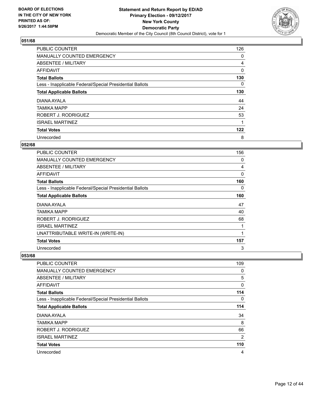

| <b>PUBLIC COUNTER</b>                                    | 126 |
|----------------------------------------------------------|-----|
| MANUALLY COUNTED EMERGENCY                               | 0   |
| ABSENTEE / MILITARY                                      | 4   |
| AFFIDAVIT                                                | 0   |
| <b>Total Ballots</b>                                     | 130 |
| Less - Inapplicable Federal/Special Presidential Ballots | 0   |
| <b>Total Applicable Ballots</b>                          | 130 |
| DIANA AYALA                                              | 44  |
| <b>TAMIKA MAPP</b>                                       | 24  |
| ROBERT J. RODRIGUEZ                                      | 53  |
| <b>ISRAEL MARTINEZ</b>                                   |     |
| <b>Total Votes</b>                                       | 122 |
| Unrecorded                                               | 8   |

# **052/68**

| <b>PUBLIC COUNTER</b>                                    | 156         |
|----------------------------------------------------------|-------------|
| <b>MANUALLY COUNTED EMERGENCY</b>                        | 0           |
| <b>ABSENTEE / MILITARY</b>                               | 4           |
| AFFIDAVIT                                                | $\mathbf 0$ |
| <b>Total Ballots</b>                                     | 160         |
| Less - Inapplicable Federal/Special Presidential Ballots | 0           |
| <b>Total Applicable Ballots</b>                          | 160         |
| DIANA AYALA                                              | 47          |
| TAMIKA MAPP                                              | 40          |
| ROBERT J. RODRIGUEZ                                      | 68          |
| <b>ISRAEL MARTINEZ</b>                                   | 1           |
| UNATTRIBUTABLE WRITE-IN (WRITE-IN)                       | 1           |
| <b>Total Votes</b>                                       | 157         |
| Unrecorded                                               | 3           |

| <b>PUBLIC COUNTER</b>                                    | 109 |
|----------------------------------------------------------|-----|
| <b>MANUALLY COUNTED EMERGENCY</b>                        | 0   |
| ABSENTEE / MILITARY                                      | 5   |
| AFFIDAVIT                                                | 0   |
| <b>Total Ballots</b>                                     | 114 |
| Less - Inapplicable Federal/Special Presidential Ballots | 0   |
| <b>Total Applicable Ballots</b>                          | 114 |
| DIANA AYALA                                              | 34  |
| <b>TAMIKA MAPP</b>                                       | 8   |
| ROBERT J. RODRIGUEZ                                      | 66  |
| <b>ISRAEL MARTINEZ</b>                                   | 2   |
| <b>Total Votes</b>                                       | 110 |
| Unrecorded                                               | 4   |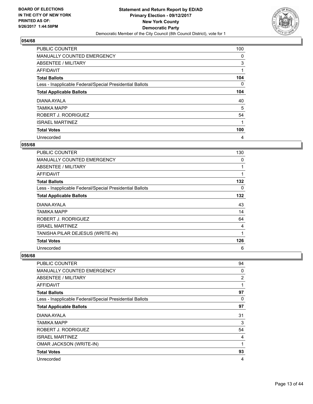

| PUBLIC COUNTER                                           | 100 |
|----------------------------------------------------------|-----|
| MANUALLY COUNTED EMERGENCY                               | 0   |
| ABSENTEE / MILITARY                                      | 3   |
| AFFIDAVIT                                                | 1   |
| <b>Total Ballots</b>                                     | 104 |
| Less - Inapplicable Federal/Special Presidential Ballots | 0   |
| <b>Total Applicable Ballots</b>                          | 104 |
| DIANA AYALA                                              | 40  |
| <b>TAMIKA MAPP</b>                                       | 5   |
| ROBERT J. RODRIGUEZ                                      | 54  |
| <b>ISRAEL MARTINEZ</b>                                   |     |
| <b>Total Votes</b>                                       | 100 |
| Unrecorded                                               | 4   |

# **055/68**

| PUBLIC COUNTER                                           | 130 |
|----------------------------------------------------------|-----|
| <b>MANUALLY COUNTED EMERGENCY</b>                        | 0   |
| <b>ABSENTEE / MILITARY</b>                               | 1   |
| AFFIDAVIT                                                | 1   |
| <b>Total Ballots</b>                                     | 132 |
| Less - Inapplicable Federal/Special Presidential Ballots | 0   |
| <b>Total Applicable Ballots</b>                          | 132 |
| DIANA AYALA                                              | 43  |
| TAMIKA MAPP                                              | 14  |
| ROBERT J. RODRIGUEZ                                      | 64  |
| <b>ISRAEL MARTINEZ</b>                                   | 4   |
| TANISHA PILAR DEJESUS (WRITE-IN)                         | 1   |
| <b>Total Votes</b>                                       | 126 |
| Unrecorded                                               | 6   |

| <b>PUBLIC COUNTER</b>                                    | 94             |
|----------------------------------------------------------|----------------|
| <b>MANUALLY COUNTED EMERGENCY</b>                        | 0              |
| ABSENTEE / MILITARY                                      | $\overline{2}$ |
| AFFIDAVIT                                                | 1              |
| <b>Total Ballots</b>                                     | 97             |
| Less - Inapplicable Federal/Special Presidential Ballots | 0              |
| <b>Total Applicable Ballots</b>                          | 97             |
| DIANA AYALA                                              | 31             |
| TAMIKA MAPP                                              | 3              |
| ROBERT J. RODRIGUEZ                                      | 54             |
| <b>ISRAEL MARTINEZ</b>                                   | 4              |
| OMAR JACKSON (WRITE-IN)                                  | 1              |
| <b>Total Votes</b>                                       | 93             |
| Unrecorded                                               | 4              |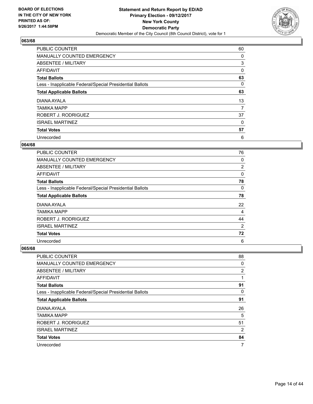

| <b>PUBLIC COUNTER</b>                                    | 60 |
|----------------------------------------------------------|----|
| MANUALLY COUNTED EMERGENCY                               | 0  |
| ABSENTEE / MILITARY                                      | 3  |
| AFFIDAVIT                                                | 0  |
| <b>Total Ballots</b>                                     | 63 |
| Less - Inapplicable Federal/Special Presidential Ballots | 0  |
| <b>Total Applicable Ballots</b>                          | 63 |
| DIANA AYALA                                              | 13 |
| <b>TAMIKA MAPP</b>                                       | 7  |
| ROBERT J. RODRIGUEZ                                      | 37 |
| <b>ISRAEL MARTINEZ</b>                                   | 0  |
| <b>Total Votes</b>                                       | 57 |
| Unrecorded                                               | 6  |

## **064/68**

| <b>PUBLIC COUNTER</b>                                    | 76 |
|----------------------------------------------------------|----|
| <b>MANUALLY COUNTED EMERGENCY</b>                        | 0  |
| ABSENTEE / MILITARY                                      | 2  |
| AFFIDAVIT                                                | 0  |
| <b>Total Ballots</b>                                     | 78 |
| Less - Inapplicable Federal/Special Presidential Ballots | 0  |
| <b>Total Applicable Ballots</b>                          | 78 |
| DIANA AYALA                                              | 22 |
| <b>TAMIKA MAPP</b>                                       | 4  |
| ROBERT J. RODRIGUEZ                                      | 44 |
| <b>ISRAEL MARTINEZ</b>                                   | 2  |
| <b>Total Votes</b>                                       | 72 |
| Unrecorded                                               | 6  |

| <b>PUBLIC COUNTER</b>                                    | 88 |
|----------------------------------------------------------|----|
| MANUALLY COUNTED EMERGENCY                               | 0  |
| ABSENTEE / MILITARY                                      | 2  |
| AFFIDAVIT                                                | 1  |
| <b>Total Ballots</b>                                     | 91 |
| Less - Inapplicable Federal/Special Presidential Ballots | 0  |
| <b>Total Applicable Ballots</b>                          | 91 |
| DIANA AYALA                                              | 26 |
| <b>TAMIKA MAPP</b>                                       | 5  |
| ROBERT J. RODRIGUEZ                                      | 51 |
| <b>ISRAEL MARTINEZ</b>                                   | 2  |
| <b>Total Votes</b>                                       | 84 |
| Unrecorded                                               | 7  |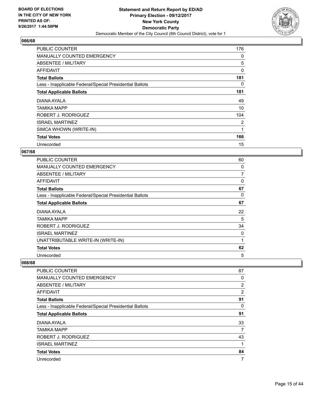

| <b>PUBLIC COUNTER</b>                                    | 176 |
|----------------------------------------------------------|-----|
| <b>MANUALLY COUNTED EMERGENCY</b>                        | 0   |
| ABSENTEE / MILITARY                                      | 5   |
| AFFIDAVIT                                                | 0   |
| <b>Total Ballots</b>                                     | 181 |
| Less - Inapplicable Federal/Special Presidential Ballots | 0   |
| <b>Total Applicable Ballots</b>                          | 181 |
| DIANA AYALA                                              | 49  |
| TAMIKA MAPP                                              | 10  |
| ROBERT J. RODRIGUEZ                                      | 104 |
| <b>ISRAEL MARTINEZ</b>                                   | 2   |
| SIMCA WHOWN (WRITE-IN)                                   |     |
| <b>Total Votes</b>                                       | 166 |
| Unrecorded                                               | 15  |

# **067/68**

| <b>PUBLIC COUNTER</b>                                    | 60             |
|----------------------------------------------------------|----------------|
| <b>MANUALLY COUNTED EMERGENCY</b>                        | 0              |
| ABSENTEE / MILITARY                                      | $\overline{7}$ |
| AFFIDAVIT                                                | 0              |
| <b>Total Ballots</b>                                     | 67             |
| Less - Inapplicable Federal/Special Presidential Ballots | 0              |
| <b>Total Applicable Ballots</b>                          | 67             |
| DIANA AYALA                                              | 22             |
| TAMIKA MAPP                                              | 5              |
| ROBERT J. RODRIGUEZ                                      | 34             |
| <b>ISRAEL MARTINEZ</b>                                   | 0              |
| UNATTRIBUTABLE WRITE-IN (WRITE-IN)                       | 1              |
| <b>Total Votes</b>                                       | 62             |
| Unrecorded                                               | 5              |

| <b>PUBLIC COUNTER</b>                                    | 87 |
|----------------------------------------------------------|----|
| MANUALLY COUNTED EMERGENCY                               | 0  |
| ABSENTEE / MILITARY                                      | 2  |
| <b>AFFIDAVIT</b>                                         | 2  |
| <b>Total Ballots</b>                                     | 91 |
| Less - Inapplicable Federal/Special Presidential Ballots | 0  |
| <b>Total Applicable Ballots</b>                          | 91 |
| DIANA AYALA                                              | 33 |
| TAMIKA MAPP                                              | 7  |
| ROBERT J. RODRIGUEZ                                      | 43 |
| <b>ISRAEL MARTINEZ</b>                                   | 1  |
| <b>Total Votes</b>                                       | 84 |
| Unrecorded                                               | 7  |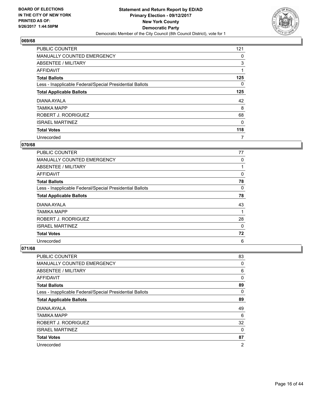

| <b>PUBLIC COUNTER</b>                                    | 121      |
|----------------------------------------------------------|----------|
| MANUALLY COUNTED EMERGENCY                               | 0        |
| ABSENTEE / MILITARY                                      | 3        |
| <b>AFFIDAVIT</b>                                         |          |
| <b>Total Ballots</b>                                     | 125      |
| Less - Inapplicable Federal/Special Presidential Ballots | $\Omega$ |
| <b>Total Applicable Ballots</b>                          | 125      |
| DIANA AYALA                                              | 42       |
| TAMIKA MAPP                                              | 8        |
| ROBERT J. RODRIGUEZ                                      | 68       |
| <b>ISRAEL MARTINEZ</b>                                   | 0        |
| <b>Total Votes</b>                                       | 118      |
| Unrecorded                                               | 7        |

#### **070/68**

| <b>PUBLIC COUNTER</b>                                    | 77 |
|----------------------------------------------------------|----|
| <b>MANUALLY COUNTED EMERGENCY</b>                        | 0  |
| ABSENTEE / MILITARY                                      |    |
| AFFIDAVIT                                                | 0  |
| <b>Total Ballots</b>                                     | 78 |
| Less - Inapplicable Federal/Special Presidential Ballots | 0  |
| <b>Total Applicable Ballots</b>                          | 78 |
| DIANA AYALA                                              | 43 |
| <b>TAMIKA MAPP</b>                                       |    |
| ROBERT J. RODRIGUEZ                                      | 28 |
| <b>ISRAEL MARTINEZ</b>                                   | 0  |
| <b>Total Votes</b>                                       | 72 |
| Unrecorded                                               | 6  |

| PUBLIC COUNTER                                           | 83             |
|----------------------------------------------------------|----------------|
| <b>MANUALLY COUNTED EMERGENCY</b>                        | 0              |
| ABSENTEE / MILITARY                                      | 6              |
| AFFIDAVIT                                                | 0              |
| <b>Total Ballots</b>                                     | 89             |
| Less - Inapplicable Federal/Special Presidential Ballots | 0              |
| <b>Total Applicable Ballots</b>                          | 89             |
| DIANA AYALA                                              | 49             |
| <b>TAMIKA MAPP</b>                                       | 6              |
| ROBERT J. RODRIGUEZ                                      | 32             |
| <b>ISRAEL MARTINEZ</b>                                   | 0              |
| <b>Total Votes</b>                                       | 87             |
| Unrecorded                                               | $\overline{2}$ |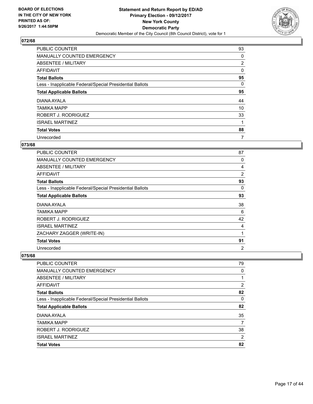

| PUBLIC COUNTER                                           | 93             |
|----------------------------------------------------------|----------------|
| <b>MANUALLY COUNTED EMERGENCY</b>                        | 0              |
| ABSENTEE / MILITARY                                      | $\overline{2}$ |
| <b>AFFIDAVIT</b>                                         | 0              |
| <b>Total Ballots</b>                                     | 95             |
| Less - Inapplicable Federal/Special Presidential Ballots | 0              |
| <b>Total Applicable Ballots</b>                          | 95             |
| DIANA AYALA                                              | 44             |
| <b>TAMIKA MAPP</b>                                       | 10             |
| ROBERT J. RODRIGUEZ                                      | 33             |
| <b>ISRAEL MARTINEZ</b>                                   |                |
| <b>Total Votes</b>                                       | 88             |
| Unrecorded                                               | 7              |

# **073/68**

| <b>PUBLIC COUNTER</b>                                    | 87             |
|----------------------------------------------------------|----------------|
| <b>MANUALLY COUNTED EMERGENCY</b>                        | 0              |
| ABSENTEE / MILITARY                                      | 4              |
| AFFIDAVIT                                                | $\overline{2}$ |
| <b>Total Ballots</b>                                     | 93             |
| Less - Inapplicable Federal/Special Presidential Ballots | 0              |
| <b>Total Applicable Ballots</b>                          | 93             |
| DIANA AYALA                                              | 38             |
| TAMIKA MAPP                                              | 6              |
| ROBERT J. RODRIGUEZ                                      | 42             |
| <b>ISRAEL MARTINEZ</b>                                   | 4              |
| ZACHARY ZAGGER (WRITE-IN)                                | 1              |
| <b>Total Votes</b>                                       | 91             |
| Unrecorded                                               | $\overline{2}$ |

| <b>PUBLIC COUNTER</b>                                    | 79             |
|----------------------------------------------------------|----------------|
| <b>MANUALLY COUNTED EMERGENCY</b>                        | 0              |
| ABSENTEE / MILITARY                                      |                |
| AFFIDAVIT                                                | $\overline{2}$ |
| <b>Total Ballots</b>                                     | 82             |
| Less - Inapplicable Federal/Special Presidential Ballots | 0              |
| <b>Total Applicable Ballots</b>                          | 82             |
| DIANA AYALA                                              | 35             |
| <b>TAMIKA MAPP</b>                                       | 7              |
| ROBERT J. RODRIGUEZ                                      | 38             |
| <b>ISRAEL MARTINEZ</b>                                   | $\overline{2}$ |
| <b>Total Votes</b>                                       | 82             |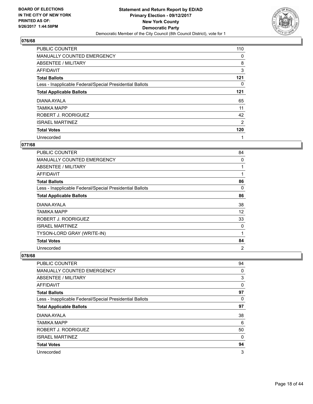

| <b>PUBLIC COUNTER</b>                                    | 110 |
|----------------------------------------------------------|-----|
| MANUALLY COUNTED EMERGENCY                               | 0   |
| ABSENTEE / MILITARY                                      | 8   |
| AFFIDAVIT                                                | 3   |
| <b>Total Ballots</b>                                     | 121 |
| Less - Inapplicable Federal/Special Presidential Ballots | 0   |
| <b>Total Applicable Ballots</b>                          | 121 |
| DIANA AYALA                                              | 65  |
| <b>TAMIKA MAPP</b>                                       | 11  |
| ROBERT J. RODRIGUEZ                                      | 42  |
| <b>ISRAEL MARTINEZ</b>                                   | 2   |
| <b>Total Votes</b>                                       | 120 |
| Unrecorded                                               | 1   |

# **077/68**

| PUBLIC COUNTER                                           | 84             |
|----------------------------------------------------------|----------------|
| <b>MANUALLY COUNTED EMERGENCY</b>                        | 0              |
| <b>ABSENTEE / MILITARY</b>                               | 1              |
| AFFIDAVIT                                                | 1              |
| <b>Total Ballots</b>                                     | 86             |
| Less - Inapplicable Federal/Special Presidential Ballots | 0              |
| <b>Total Applicable Ballots</b>                          | 86             |
| DIANA AYALA                                              | 38             |
| TAMIKA MAPP                                              | 12             |
| ROBERT J. RODRIGUEZ                                      | 33             |
| <b>ISRAEL MARTINEZ</b>                                   | 0              |
| TYSON-LORD GRAY (WRITE-IN)                               | 1              |
| <b>Total Votes</b>                                       | 84             |
| Unrecorded                                               | $\overline{2}$ |

| <b>PUBLIC COUNTER</b>                                    | 94 |
|----------------------------------------------------------|----|
| <b>MANUALLY COUNTED EMERGENCY</b>                        | 0  |
| ABSENTEE / MILITARY                                      | 3  |
| AFFIDAVIT                                                | 0  |
| <b>Total Ballots</b>                                     | 97 |
| Less - Inapplicable Federal/Special Presidential Ballots | 0  |
| <b>Total Applicable Ballots</b>                          | 97 |
| DIANA AYALA                                              | 38 |
| <b>TAMIKA MAPP</b>                                       | 6  |
| ROBERT J. RODRIGUEZ                                      | 50 |
| <b>ISRAEL MARTINEZ</b>                                   | 0  |
| <b>Total Votes</b>                                       | 94 |
| Unrecorded                                               | 3  |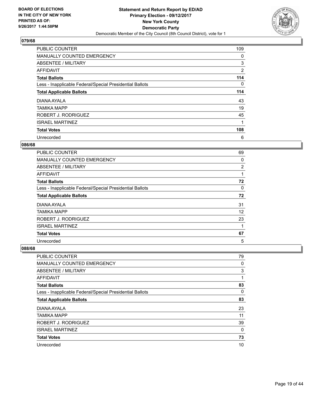

| <b>PUBLIC COUNTER</b>                                    | 109            |
|----------------------------------------------------------|----------------|
| MANUALLY COUNTED EMERGENCY                               | 0              |
| ABSENTEE / MILITARY                                      | 3              |
| AFFIDAVIT                                                | $\overline{2}$ |
| <b>Total Ballots</b>                                     | 114            |
| Less - Inapplicable Federal/Special Presidential Ballots | 0              |
| <b>Total Applicable Ballots</b>                          | 114            |
| DIANA AYALA                                              | 43             |
| <b>TAMIKA MAPP</b>                                       | 19             |
| ROBERT J. RODRIGUEZ                                      | 45             |
| <b>ISRAEL MARTINEZ</b>                                   | 1              |
| <b>Total Votes</b>                                       | 108            |
| Unrecorded                                               | 6              |

## **086/68**

| <b>PUBLIC COUNTER</b>                                    | 69       |
|----------------------------------------------------------|----------|
| <b>MANUALLY COUNTED EMERGENCY</b>                        | $\Omega$ |
| ABSENTEE / MILITARY                                      | 2        |
| AFFIDAVIT                                                |          |
| <b>Total Ballots</b>                                     | 72       |
| Less - Inapplicable Federal/Special Presidential Ballots | 0        |
| <b>Total Applicable Ballots</b>                          | 72       |
| DIANA AYALA                                              | 31       |
| <b>TAMIKA MAPP</b>                                       | 12       |
| ROBERT J. RODRIGUEZ                                      | 23       |
| <b>ISRAEL MARTINEZ</b>                                   |          |
| <b>Total Votes</b>                                       | 67       |
| Unrecorded                                               | 5        |

| <b>PUBLIC COUNTER</b>                                    | 79 |
|----------------------------------------------------------|----|
| <b>MANUALLY COUNTED EMERGENCY</b>                        | 0  |
| ABSENTEE / MILITARY                                      | 3  |
| AFFIDAVIT                                                | 1  |
| <b>Total Ballots</b>                                     | 83 |
| Less - Inapplicable Federal/Special Presidential Ballots | 0  |
| <b>Total Applicable Ballots</b>                          | 83 |
| DIANA AYALA                                              | 23 |
| <b>TAMIKA MAPP</b>                                       | 11 |
| ROBERT J. RODRIGUEZ                                      | 39 |
| <b>ISRAEL MARTINEZ</b>                                   | 0  |
| <b>Total Votes</b>                                       | 73 |
| Unrecorded                                               | 10 |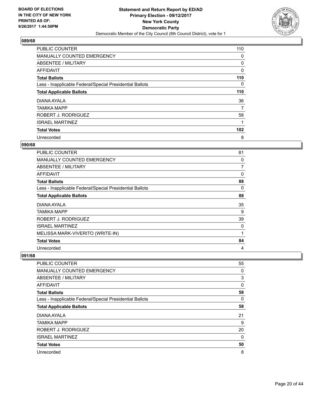

| <b>PUBLIC COUNTER</b>                                    | 110 |
|----------------------------------------------------------|-----|
| <b>MANUALLY COUNTED EMERGENCY</b>                        | 0   |
| ABSENTEE / MILITARY                                      | 0   |
| AFFIDAVIT                                                | 0   |
| <b>Total Ballots</b>                                     | 110 |
| Less - Inapplicable Federal/Special Presidential Ballots | 0   |
| <b>Total Applicable Ballots</b>                          | 110 |
| DIANA AYALA                                              | 36  |
| <b>TAMIKA MAPP</b>                                       | 7   |
| ROBERT J. RODRIGUEZ                                      | 58  |
| <b>ISRAEL MARTINEZ</b>                                   |     |
| <b>Total Votes</b>                                       | 102 |
| Unrecorded                                               | 8   |

#### **090/68**

| <b>PUBLIC COUNTER</b>                                    | 81          |
|----------------------------------------------------------|-------------|
| MANUALLY COUNTED EMERGENCY                               | 0           |
| ABSENTEE / MILITARY                                      | 7           |
| <b>AFFIDAVIT</b>                                         | $\mathbf 0$ |
| <b>Total Ballots</b>                                     | 88          |
| Less - Inapplicable Federal/Special Presidential Ballots | 0           |
| <b>Total Applicable Ballots</b>                          | 88          |
| DIANA AYALA                                              | 35          |
| TAMIKA MAPP                                              | 9           |
| ROBERT J. RODRIGUEZ                                      | 39          |
| <b>ISRAEL MARTINEZ</b>                                   | 0           |
| MELISSA MARK-VIVERITO (WRITE-IN)                         | 1           |
| <b>Total Votes</b>                                       | 84          |
| Unrecorded                                               | 4           |

| <b>PUBLIC COUNTER</b>                                    | 55 |
|----------------------------------------------------------|----|
| <b>MANUALLY COUNTED EMERGENCY</b>                        | 0  |
| ABSENTEE / MILITARY                                      | 3  |
| AFFIDAVIT                                                | 0  |
| <b>Total Ballots</b>                                     | 58 |
| Less - Inapplicable Federal/Special Presidential Ballots | 0  |
| <b>Total Applicable Ballots</b>                          | 58 |
| DIANA AYALA                                              | 21 |
| <b>TAMIKA MAPP</b>                                       | 9  |
| ROBERT J. RODRIGUEZ                                      | 20 |
| <b>ISRAEL MARTINEZ</b>                                   | 0  |
| <b>Total Votes</b>                                       | 50 |
| Unrecorded                                               | 8  |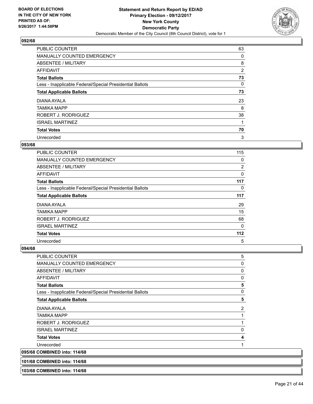

| <b>PUBLIC COUNTER</b>                                    | 63 |
|----------------------------------------------------------|----|
| MANUALLY COUNTED EMERGENCY                               | 0  |
| ABSENTEE / MILITARY                                      | 8  |
| AFFIDAVIT                                                | 2  |
| <b>Total Ballots</b>                                     | 73 |
| Less - Inapplicable Federal/Special Presidential Ballots | 0  |
| <b>Total Applicable Ballots</b>                          | 73 |
| DIANA AYALA                                              | 23 |
| <b>TAMIKA MAPP</b>                                       | 8  |
| ROBERT J. RODRIGUEZ                                      | 38 |
| <b>ISRAEL MARTINEZ</b>                                   |    |
| <b>Total Votes</b>                                       | 70 |
| Unrecorded                                               | 3  |

# **093/68**

| <b>PUBLIC COUNTER</b>                                    | 115   |
|----------------------------------------------------------|-------|
| <b>MANUALLY COUNTED EMERGENCY</b>                        | 0     |
| ABSENTEE / MILITARY                                      | 2     |
| AFFIDAVIT                                                | 0     |
| <b>Total Ballots</b>                                     | 117   |
| Less - Inapplicable Federal/Special Presidential Ballots | 0     |
| <b>Total Applicable Ballots</b>                          | 117   |
| DIANA AYALA                                              | 29    |
| <b>TAMIKA MAPP</b>                                       | 15    |
| ROBERT J. RODRIGUEZ                                      | 68    |
| <b>ISRAEL MARTINEZ</b>                                   | 0     |
| <b>Total Votes</b>                                       | $112$ |
| Unrecorded                                               | 5     |

# **094/68**

| <b>PUBLIC COUNTER</b>                                    | 5            |
|----------------------------------------------------------|--------------|
| <b>MANUALLY COUNTED EMERGENCY</b>                        | 0            |
| ABSENTEE / MILITARY                                      | 0            |
| <b>AFFIDAVIT</b>                                         | 0            |
| <b>Total Ballots</b>                                     | 5            |
| Less - Inapplicable Federal/Special Presidential Ballots | 0            |
| <b>Total Applicable Ballots</b>                          | 5            |
| DIANA AYALA                                              | 2            |
| TAMIKA MAPP                                              |              |
| ROBERT J. RODRIGUEZ                                      |              |
| <b>ISRAEL MARTINEZ</b>                                   | $\mathbf{0}$ |
| <b>Total Votes</b>                                       | 4            |
| Unrecorded                                               |              |
| 095/68 COMBINED into: 114/68                             |              |
| 101/68 COMBINED into: 114/68                             |              |

**103/68 COMBINED into: 114/68**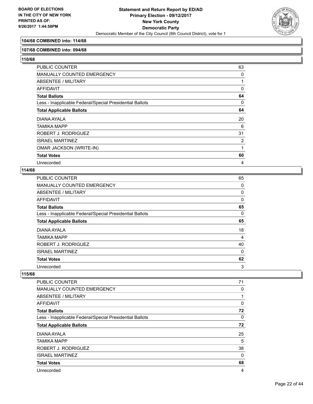

# **104/68 COMBINED into: 114/68**

#### **107/68 COMBINED into: 094/68**

**110/68** 

| PUBLIC COUNTER                                           | 63 |
|----------------------------------------------------------|----|
| MANUALLY COUNTED EMERGENCY                               | 0  |
| ABSENTEE / MILITARY                                      | 1  |
| AFFIDAVIT                                                | 0  |
| Total Ballots                                            | 64 |
| Less - Inapplicable Federal/Special Presidential Ballots | 0  |
| <b>Total Applicable Ballots</b>                          | 64 |
| DIANA AYALA                                              | 20 |
| TAMIKA MAPP                                              | 6  |
| ROBERT J. RODRIGUEZ                                      | 31 |
| <b>ISRAEL MARTINEZ</b>                                   | 2  |
| <b>OMAR JACKSON (WRITE-IN)</b>                           | 1  |
| <b>Total Votes</b>                                       | 60 |
| Unrecorded                                               | 4  |

#### **114/68**

| PUBLIC COUNTER                                           | 65           |
|----------------------------------------------------------|--------------|
| MANUALLY COUNTED EMERGENCY                               | 0            |
| ABSENTEE / MILITARY                                      | 0            |
| AFFIDAVIT                                                | 0            |
| <b>Total Ballots</b>                                     | 65           |
| Less - Inapplicable Federal/Special Presidential Ballots | 0            |
| <b>Total Applicable Ballots</b>                          | 65           |
| DIANA AYALA                                              | 18           |
| TAMIKA MAPP                                              | 4            |
| ROBERT J. RODRIGUEZ                                      | 40           |
| <b>ISRAEL MARTINEZ</b>                                   | $\mathbf{0}$ |
| <b>Total Votes</b>                                       | 62           |
| Unrecorded                                               | 3            |

| <b>PUBLIC COUNTER</b>                                    | 71 |
|----------------------------------------------------------|----|
| <b>MANUALLY COUNTED EMERGENCY</b>                        | 0  |
| ABSENTEE / MILITARY                                      |    |
| AFFIDAVIT                                                | 0  |
| <b>Total Ballots</b>                                     | 72 |
| Less - Inapplicable Federal/Special Presidential Ballots | 0  |
| <b>Total Applicable Ballots</b>                          | 72 |
| DIANA AYALA                                              | 25 |
| TAMIKA MAPP                                              | 5  |
| ROBERT J. RODRIGUEZ                                      | 38 |
| <b>ISRAEL MARTINEZ</b>                                   | 0  |
| <b>Total Votes</b>                                       | 68 |
| Unrecorded                                               | 4  |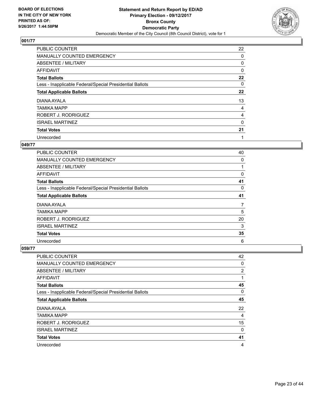

| <b>PUBLIC COUNTER</b>                                    | 22 |
|----------------------------------------------------------|----|
| MANUALLY COUNTED EMERGENCY                               | 0  |
| ABSENTEE / MILITARY                                      | 0  |
| AFFIDAVIT                                                | 0  |
| <b>Total Ballots</b>                                     | 22 |
| Less - Inapplicable Federal/Special Presidential Ballots | 0  |
| <b>Total Applicable Ballots</b>                          | 22 |
| DIANA AYALA                                              | 13 |
| <b>TAMIKA MAPP</b>                                       | 4  |
| ROBERT J. RODRIGUEZ                                      | 4  |
| <b>ISRAEL MARTINEZ</b>                                   | 0  |
| <b>Total Votes</b>                                       | 21 |
| Unrecorded                                               | 1  |

# **049/77**

| <b>PUBLIC COUNTER</b>                                    | 40          |
|----------------------------------------------------------|-------------|
| <b>MANUALLY COUNTED EMERGENCY</b>                        | $\mathbf 0$ |
| ABSENTEE / MILITARY                                      |             |
| <b>AFFIDAVIT</b>                                         | 0           |
| <b>Total Ballots</b>                                     | 41          |
| Less - Inapplicable Federal/Special Presidential Ballots | 0           |
| <b>Total Applicable Ballots</b>                          | 41          |
| DIANA AYALA                                              | 7           |
| <b>TAMIKA MAPP</b>                                       | 5           |
| ROBERT J. RODRIGUEZ                                      | 20          |
| <b>ISRAEL MARTINEZ</b>                                   | 3           |
| <b>Total Votes</b>                                       | 35          |
| Unrecorded                                               | 6           |

| PUBLIC COUNTER                                           | 42 |
|----------------------------------------------------------|----|
| <b>MANUALLY COUNTED EMERGENCY</b>                        | 0  |
| ABSENTEE / MILITARY                                      | 2  |
| AFFIDAVIT                                                | 1  |
| <b>Total Ballots</b>                                     | 45 |
| Less - Inapplicable Federal/Special Presidential Ballots | 0  |
| <b>Total Applicable Ballots</b>                          | 45 |
| DIANA AYALA                                              | 22 |
| <b>TAMIKA MAPP</b>                                       | 4  |
| ROBERT J. RODRIGUEZ                                      | 15 |
| <b>ISRAEL MARTINEZ</b>                                   | 0  |
| <b>Total Votes</b>                                       | 41 |
| Unrecorded                                               | 4  |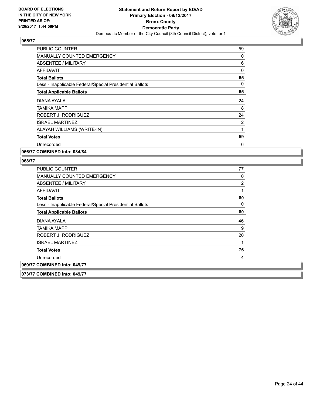

| <b>PUBLIC COUNTER</b>                                    | 59       |
|----------------------------------------------------------|----------|
| <b>MANUALLY COUNTED EMERGENCY</b>                        | 0        |
| <b>ABSENTEE / MILITARY</b>                               | 6        |
| AFFIDAVIT                                                | $\Omega$ |
| <b>Total Ballots</b>                                     | 65       |
| Less - Inapplicable Federal/Special Presidential Ballots | 0        |
| <b>Total Applicable Ballots</b>                          | 65       |
| DIANA AYALA                                              | 24       |
| TAMIKA MAPP                                              | 8        |
| ROBERT J. RODRIGUEZ                                      | 24       |
| <b>ISRAEL MARTINEZ</b>                                   | 2        |
| ALAYAH WILLIAMS (WRITE-IN)                               | 1        |
| <b>Total Votes</b>                                       | 59       |
| Unrecorded                                               | 6        |

**066/77 COMBINED into: 084/84**

| <b>PUBLIC COUNTER</b>                                    | 77             |
|----------------------------------------------------------|----------------|
| MANUALLY COUNTED EMERGENCY                               | 0              |
| ABSENTEE / MILITARY                                      | $\overline{2}$ |
| AFFIDAVIT                                                | 1              |
| <b>Total Ballots</b>                                     | 80             |
| Less - Inapplicable Federal/Special Presidential Ballots | 0              |
| <b>Total Applicable Ballots</b>                          | 80             |
| DIANA AYALA                                              | 46             |
| TAMIKA MAPP                                              | 9              |
| ROBERT J. RODRIGUEZ                                      | 20             |
| <b>ISRAEL MARTINEZ</b>                                   | 1              |
| <b>Total Votes</b>                                       | 76             |
| Unrecorded                                               | 4              |
| 069/77 COMBINED into: 049/77                             |                |
| 073/77 COMBINED into: 049/77                             |                |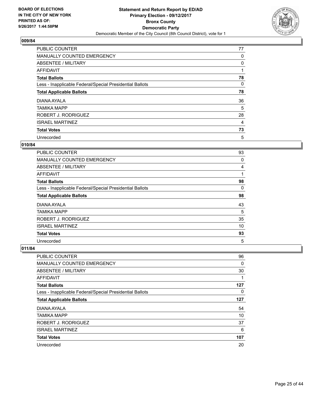

| <b>PUBLIC COUNTER</b>                                    | 77 |
|----------------------------------------------------------|----|
| MANUALLY COUNTED EMERGENCY                               | 0  |
| ABSENTEE / MILITARY                                      | 0  |
| AFFIDAVIT                                                |    |
| <b>Total Ballots</b>                                     | 78 |
| Less - Inapplicable Federal/Special Presidential Ballots | 0  |
| <b>Total Applicable Ballots</b>                          | 78 |
| DIANA AYALA                                              | 36 |
| <b>TAMIKA MAPP</b>                                       | 5  |
| ROBERT J. RODRIGUEZ                                      | 28 |
| <b>ISRAEL MARTINEZ</b>                                   | 4  |
| <b>Total Votes</b>                                       | 73 |
| Unrecorded                                               | 5  |

# **010/84**

| <b>PUBLIC COUNTER</b>                                    | 93             |
|----------------------------------------------------------|----------------|
| MANUALLY COUNTED EMERGENCY                               | 0              |
| ABSENTEE / MILITARY                                      | $\overline{4}$ |
| AFFIDAVIT                                                | 1              |
| <b>Total Ballots</b>                                     | 98             |
| Less - Inapplicable Federal/Special Presidential Ballots | 0              |
| <b>Total Applicable Ballots</b>                          | 98             |
| DIANA AYALA                                              | 43             |
| TAMIKA MAPP                                              | 5              |
| ROBERT J. RODRIGUEZ                                      | 35             |
| <b>ISRAEL MARTINEZ</b>                                   | 10             |
| <b>Total Votes</b>                                       | 93             |
| Unrecorded                                               | 5              |

| PUBLIC COUNTER                                           | 96       |
|----------------------------------------------------------|----------|
| <b>MANUALLY COUNTED EMERGENCY</b>                        | $\Omega$ |
| ABSENTEE / MILITARY                                      | 30       |
| AFFIDAVIT                                                | 1        |
| <b>Total Ballots</b>                                     | 127      |
| Less - Inapplicable Federal/Special Presidential Ballots | 0        |
| <b>Total Applicable Ballots</b>                          | 127      |
| DIANA AYALA                                              | 54       |
| <b>TAMIKA MAPP</b>                                       | 10       |
| ROBERT J. RODRIGUEZ                                      | 37       |
| <b>ISRAEL MARTINEZ</b>                                   | 6        |
| <b>Total Votes</b>                                       | 107      |
| Unrecorded                                               | 20       |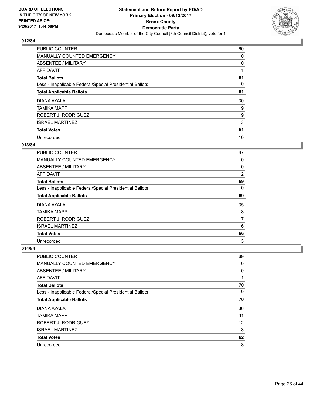

| <b>PUBLIC COUNTER</b>                                    | 60 |
|----------------------------------------------------------|----|
| MANUALLY COUNTED EMERGENCY                               | 0  |
| ABSENTEE / MILITARY                                      | 0  |
| AFFIDAVIT                                                |    |
| <b>Total Ballots</b>                                     | 61 |
| Less - Inapplicable Federal/Special Presidential Ballots | 0  |
| <b>Total Applicable Ballots</b>                          | 61 |
| DIANA AYALA                                              | 30 |
| <b>TAMIKA MAPP</b>                                       | 9  |
| ROBERT J. RODRIGUEZ                                      | 9  |
| <b>ISRAEL MARTINEZ</b>                                   | 3  |
| <b>Total Votes</b>                                       | 51 |
| Unrecorded                                               | 10 |

# **013/84**

| <b>PUBLIC COUNTER</b>                                    | 67 |
|----------------------------------------------------------|----|
| <b>MANUALLY COUNTED EMERGENCY</b>                        | 0  |
| ABSENTEE / MILITARY                                      | 0  |
| AFFIDAVIT                                                | 2  |
| <b>Total Ballots</b>                                     | 69 |
| Less - Inapplicable Federal/Special Presidential Ballots | 0  |
| <b>Total Applicable Ballots</b>                          | 69 |
| DIANA AYALA                                              | 35 |
| <b>TAMIKA MAPP</b>                                       | 8  |
| ROBERT J. RODRIGUEZ                                      | 17 |
| <b>ISRAEL MARTINEZ</b>                                   | 6  |
| <b>Total Votes</b>                                       | 66 |
| Unrecorded                                               | 3  |

| PUBLIC COUNTER                                           | 69 |
|----------------------------------------------------------|----|
| <b>MANUALLY COUNTED EMERGENCY</b>                        | 0  |
| ABSENTEE / MILITARY                                      | 0  |
| AFFIDAVIT                                                | 1  |
| <b>Total Ballots</b>                                     | 70 |
| Less - Inapplicable Federal/Special Presidential Ballots | 0  |
| <b>Total Applicable Ballots</b>                          | 70 |
| DIANA AYALA                                              | 36 |
| <b>TAMIKA MAPP</b>                                       | 11 |
| ROBERT J. RODRIGUEZ                                      | 12 |
| <b>ISRAEL MARTINEZ</b>                                   | 3  |
| <b>Total Votes</b>                                       | 62 |
| Unrecorded                                               | 8  |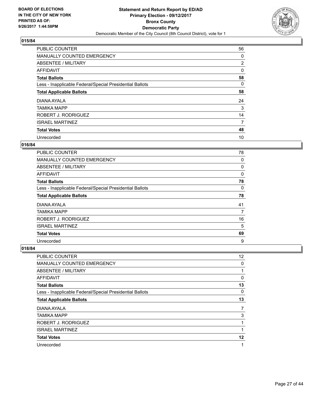

| <b>PUBLIC COUNTER</b>                                    | 56             |
|----------------------------------------------------------|----------------|
| MANUALLY COUNTED EMERGENCY                               | 0              |
| ABSENTEE / MILITARY                                      | $\overline{2}$ |
| AFFIDAVIT                                                | 0              |
| <b>Total Ballots</b>                                     | 58             |
| Less - Inapplicable Federal/Special Presidential Ballots | 0              |
| <b>Total Applicable Ballots</b>                          | 58             |
| DIANA AYALA                                              | 24             |
| <b>TAMIKA MAPP</b>                                       | 3              |
| ROBERT J. RODRIGUEZ                                      | 14             |
| <b>ISRAEL MARTINEZ</b>                                   | 7              |
| <b>Total Votes</b>                                       | 48             |
| Unrecorded                                               | 10             |

## **016/84**

| <b>PUBLIC COUNTER</b>                                    | 78       |
|----------------------------------------------------------|----------|
| <b>MANUALLY COUNTED EMERGENCY</b>                        | 0        |
| ABSENTEE / MILITARY                                      | 0        |
| AFFIDAVIT                                                | $\Omega$ |
| <b>Total Ballots</b>                                     | 78       |
| Less - Inapplicable Federal/Special Presidential Ballots | 0        |
| <b>Total Applicable Ballots</b>                          | 78       |
| DIANA AYALA                                              | 41       |
| <b>TAMIKA MAPP</b>                                       | 7        |
| ROBERT J. RODRIGUEZ                                      | 16       |
| <b>ISRAEL MARTINEZ</b>                                   | 5        |
| <b>Total Votes</b>                                       | 69       |
| Unrecorded                                               | 9        |

| PUBLIC COUNTER                                           | $12 \overline{ }$ |
|----------------------------------------------------------|-------------------|
| <b>MANUALLY COUNTED EMERGENCY</b>                        | 0                 |
| ABSENTEE / MILITARY                                      | 1                 |
| AFFIDAVIT                                                | 0                 |
| <b>Total Ballots</b>                                     | 13                |
| Less - Inapplicable Federal/Special Presidential Ballots | 0                 |
| <b>Total Applicable Ballots</b>                          | 13                |
| DIANA AYALA                                              | 7                 |
| <b>TAMIKA MAPP</b>                                       | 3                 |
| ROBERT J. RODRIGUEZ                                      | 1                 |
| <b>ISRAEL MARTINEZ</b>                                   | 1                 |
| <b>Total Votes</b>                                       | 12                |
| Unrecorded                                               | 1                 |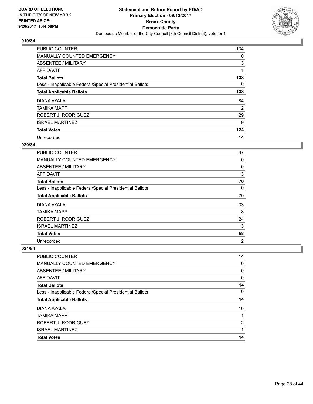

| <b>PUBLIC COUNTER</b>                                    | 134 |
|----------------------------------------------------------|-----|
| MANUALLY COUNTED EMERGENCY                               | 0   |
| ABSENTEE / MILITARY                                      | 3   |
| AFFIDAVIT                                                | 1   |
| <b>Total Ballots</b>                                     | 138 |
| Less - Inapplicable Federal/Special Presidential Ballots | 0   |
| <b>Total Applicable Ballots</b>                          | 138 |
| DIANA AYALA                                              | 84  |
| <b>TAMIKA MAPP</b>                                       | 2   |
| ROBERT J. RODRIGUEZ                                      | 29  |
| <b>ISRAEL MARTINEZ</b>                                   | 9   |
| <b>Total Votes</b>                                       | 124 |
| Unrecorded                                               | 14  |

#### **020/84**

| <b>PUBLIC COUNTER</b>                                    | 67             |
|----------------------------------------------------------|----------------|
| <b>MANUALLY COUNTED EMERGENCY</b>                        | 0              |
| ABSENTEE / MILITARY                                      | 0              |
| AFFIDAVIT                                                | 3              |
| <b>Total Ballots</b>                                     | 70             |
| Less - Inapplicable Federal/Special Presidential Ballots | 0              |
| <b>Total Applicable Ballots</b>                          | 70             |
| DIANA AYALA                                              | 33             |
| TAMIKA MAPP                                              | 8              |
| ROBERT J. RODRIGUEZ                                      | 24             |
| <b>ISRAEL MARTINEZ</b>                                   | 3              |
| <b>Total Votes</b>                                       | 68             |
| Unrecorded                                               | $\overline{2}$ |

| <b>PUBLIC COUNTER</b>                                    | 14             |
|----------------------------------------------------------|----------------|
| <b>MANUALLY COUNTED EMERGENCY</b>                        | 0              |
| ABSENTEE / MILITARY                                      | 0              |
| AFFIDAVIT                                                | 0              |
| <b>Total Ballots</b>                                     | 14             |
| Less - Inapplicable Federal/Special Presidential Ballots | 0              |
| <b>Total Applicable Ballots</b>                          | 14             |
| DIANA AYALA                                              | 10             |
| <b>TAMIKA MAPP</b>                                       |                |
| ROBERT J. RODRIGUEZ                                      | $\overline{2}$ |
| <b>ISRAEL MARTINEZ</b>                                   |                |
| <b>Total Votes</b>                                       | 14             |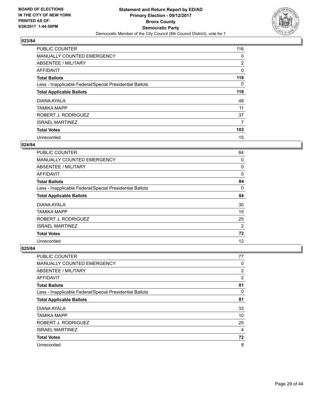

| <b>PUBLIC COUNTER</b>                                    | 116            |
|----------------------------------------------------------|----------------|
| MANUALLY COUNTED EMERGENCY                               | 0              |
| ABSENTEE / MILITARY                                      | $\overline{2}$ |
| AFFIDAVIT                                                | 0              |
| <b>Total Ballots</b>                                     | 118            |
| Less - Inapplicable Federal/Special Presidential Ballots | 0              |
| <b>Total Applicable Ballots</b>                          | 118            |
| DIANA AYALA                                              | 48             |
| <b>TAMIKA MAPP</b>                                       | 11             |
| ROBERT J. RODRIGUEZ                                      | 37             |
| <b>ISRAEL MARTINEZ</b>                                   | 7              |
| <b>Total Votes</b>                                       | 103            |
| Unrecorded                                               | 15             |

#### **024/84**

| <b>PUBLIC COUNTER</b>                                    | 84 |
|----------------------------------------------------------|----|
| <b>MANUALLY COUNTED EMERGENCY</b>                        | 0  |
| ABSENTEE / MILITARY                                      | 0  |
| AFFIDAVIT                                                | 0  |
| <b>Total Ballots</b>                                     | 84 |
| Less - Inapplicable Federal/Special Presidential Ballots | 0  |
| <b>Total Applicable Ballots</b>                          | 84 |
| DIANA AYALA                                              | 30 |
| <b>TAMIKA MAPP</b>                                       | 15 |
| ROBERT J. RODRIGUEZ                                      | 25 |
| <b>ISRAEL MARTINEZ</b>                                   | 2  |
| <b>Total Votes</b>                                       | 72 |
| Unrecorded                                               | 12 |

| <b>PUBLIC COUNTER</b>                                    | 77 |
|----------------------------------------------------------|----|
| <b>MANUALLY COUNTED EMERGENCY</b>                        | 0  |
| ABSENTEE / MILITARY                                      | 2  |
| AFFIDAVIT                                                | 2  |
| <b>Total Ballots</b>                                     | 81 |
| Less - Inapplicable Federal/Special Presidential Ballots | 0  |
| <b>Total Applicable Ballots</b>                          | 81 |
| DIANA AYALA                                              | 33 |
| <b>TAMIKA MAPP</b>                                       | 10 |
| ROBERT J. RODRIGUEZ                                      | 25 |
| <b>ISRAEL MARTINEZ</b>                                   | 4  |
| <b>Total Votes</b>                                       | 72 |
| Unrecorded                                               | 9  |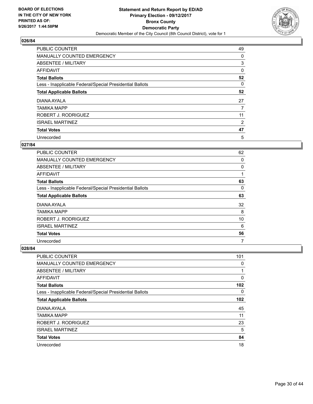

| <b>PUBLIC COUNTER</b>                                    | 49 |
|----------------------------------------------------------|----|
| MANUALLY COUNTED EMERGENCY                               | 0  |
| ABSENTEE / MILITARY                                      | 3  |
| AFFIDAVIT                                                | 0  |
| <b>Total Ballots</b>                                     | 52 |
| Less - Inapplicable Federal/Special Presidential Ballots | 0  |
| <b>Total Applicable Ballots</b>                          | 52 |
| DIANA AYALA                                              | 27 |
| <b>TAMIKA MAPP</b>                                       | 7  |
| ROBERT J. RODRIGUEZ                                      | 11 |
| <b>ISRAEL MARTINEZ</b>                                   | 2  |
| <b>Total Votes</b>                                       | 47 |
| Unrecorded                                               | 5  |

# **027/84**

| <b>PUBLIC COUNTER</b>                                    | 62 |
|----------------------------------------------------------|----|
| <b>MANUALLY COUNTED EMERGENCY</b>                        | 0  |
| ABSENTEE / MILITARY                                      | 0  |
| AFFIDAVIT                                                |    |
| <b>Total Ballots</b>                                     | 63 |
| Less - Inapplicable Federal/Special Presidential Ballots | 0  |
| <b>Total Applicable Ballots</b>                          | 63 |
| DIANA AYALA                                              | 32 |
| <b>TAMIKA MAPP</b>                                       | 8  |
| ROBERT J. RODRIGUEZ                                      | 10 |
| <b>ISRAEL MARTINEZ</b>                                   | 6  |
| <b>Total Votes</b>                                       | 56 |
| Unrecorded                                               | 7  |

| PUBLIC COUNTER                                           | 101 |
|----------------------------------------------------------|-----|
| <b>MANUALLY COUNTED EMERGENCY</b>                        | 0   |
| ABSENTEE / MILITARY                                      | 1   |
| AFFIDAVIT                                                | 0   |
| <b>Total Ballots</b>                                     | 102 |
| Less - Inapplicable Federal/Special Presidential Ballots | 0   |
| <b>Total Applicable Ballots</b>                          | 102 |
| DIANA AYALA                                              | 45  |
| <b>TAMIKA MAPP</b>                                       | 11  |
| ROBERT J. RODRIGUEZ                                      | 23  |
| <b>ISRAEL MARTINEZ</b>                                   | 5   |
| <b>Total Votes</b>                                       | 84  |
| Unrecorded                                               | 18  |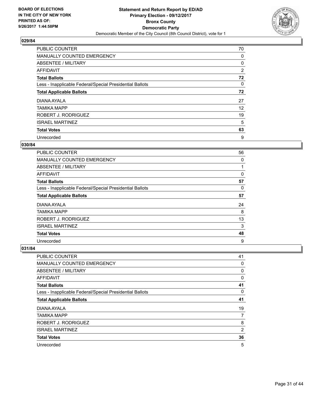

| <b>PUBLIC COUNTER</b>                                    | 70 |
|----------------------------------------------------------|----|
| MANUALLY COUNTED EMERGENCY                               | 0  |
| ABSENTEE / MILITARY                                      | 0  |
| AFFIDAVIT                                                | 2  |
| <b>Total Ballots</b>                                     | 72 |
| Less - Inapplicable Federal/Special Presidential Ballots | 0  |
| <b>Total Applicable Ballots</b>                          | 72 |
| DIANA AYALA                                              | 27 |
| <b>TAMIKA MAPP</b>                                       | 12 |
| ROBERT J. RODRIGUEZ                                      | 19 |
| <b>ISRAEL MARTINEZ</b>                                   | 5  |
| <b>Total Votes</b>                                       | 63 |
| Unrecorded                                               | 9  |

#### **030/84**

| <b>PUBLIC COUNTER</b>                                    | 56 |
|----------------------------------------------------------|----|
| <b>MANUALLY COUNTED EMERGENCY</b>                        | 0  |
| ABSENTEE / MILITARY                                      |    |
| AFFIDAVIT                                                | 0  |
| <b>Total Ballots</b>                                     | 57 |
| Less - Inapplicable Federal/Special Presidential Ballots | 0  |
| <b>Total Applicable Ballots</b>                          | 57 |
| DIANA AYALA                                              | 24 |
| <b>TAMIKA MAPP</b>                                       | 8  |
| ROBERT J. RODRIGUEZ                                      | 13 |
| <b>ISRAEL MARTINEZ</b>                                   | 3  |
| <b>Total Votes</b>                                       | 48 |
| Unrecorded                                               | 9  |

| <b>PUBLIC COUNTER</b>                                    | 41 |
|----------------------------------------------------------|----|
| MANUALLY COUNTED EMERGENCY                               | 0  |
| ABSENTEE / MILITARY                                      | 0  |
| AFFIDAVIT                                                | 0  |
| <b>Total Ballots</b>                                     | 41 |
| Less - Inapplicable Federal/Special Presidential Ballots | 0  |
| <b>Total Applicable Ballots</b>                          | 41 |
| DIANA AYALA                                              | 19 |
| <b>TAMIKA MAPP</b>                                       | 7  |
| ROBERT J. RODRIGUEZ                                      | 8  |
| <b>ISRAEL MARTINEZ</b>                                   | 2  |
| <b>Total Votes</b>                                       | 36 |
| Unrecorded                                               | 5  |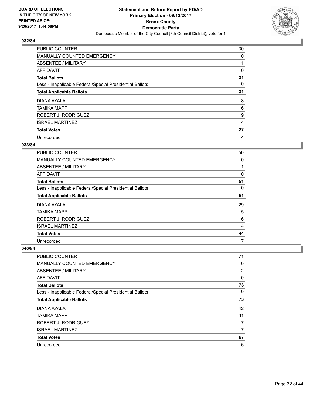

| <b>PUBLIC COUNTER</b>                                    | 30 |
|----------------------------------------------------------|----|
| MANUALLY COUNTED EMERGENCY                               | 0  |
| ABSENTEE / MILITARY                                      |    |
| AFFIDAVIT                                                | 0  |
| <b>Total Ballots</b>                                     | 31 |
| Less - Inapplicable Federal/Special Presidential Ballots | 0  |
| <b>Total Applicable Ballots</b>                          | 31 |
| DIANA AYALA                                              | 8  |
| <b>TAMIKA MAPP</b>                                       | 6  |
| ROBERT J. RODRIGUEZ                                      | 9  |
| <b>ISRAEL MARTINEZ</b>                                   | 4  |
| <b>Total Votes</b>                                       | 27 |
| Unrecorded                                               | 4  |

## **033/84**

| <b>PUBLIC COUNTER</b>                                    | 50 |
|----------------------------------------------------------|----|
| <b>MANUALLY COUNTED EMERGENCY</b>                        | 0  |
| ABSENTEE / MILITARY                                      |    |
| AFFIDAVIT                                                | 0  |
| <b>Total Ballots</b>                                     | 51 |
| Less - Inapplicable Federal/Special Presidential Ballots | 0  |
| <b>Total Applicable Ballots</b>                          | 51 |
| DIANA AYALA                                              | 29 |
| <b>TAMIKA MAPP</b>                                       | 5  |
| ROBERT J. RODRIGUEZ                                      | 6  |
| <b>ISRAEL MARTINEZ</b>                                   | 4  |
| <b>Total Votes</b>                                       | 44 |
| Unrecorded                                               | 7  |

| <b>PUBLIC COUNTER</b>                                    | 71 |
|----------------------------------------------------------|----|
| MANUALLY COUNTED EMERGENCY                               | 0  |
| ABSENTEE / MILITARY                                      | 2  |
| AFFIDAVIT                                                | 0  |
| <b>Total Ballots</b>                                     | 73 |
| Less - Inapplicable Federal/Special Presidential Ballots | 0  |
| <b>Total Applicable Ballots</b>                          | 73 |
| DIANA AYALA                                              | 42 |
| <b>TAMIKA MAPP</b>                                       | 11 |
| ROBERT J. RODRIGUEZ                                      | 7  |
| <b>ISRAEL MARTINEZ</b>                                   | 7  |
| <b>Total Votes</b>                                       | 67 |
| Unrecorded                                               | 6  |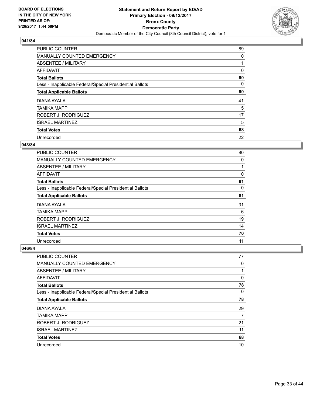

| <b>PUBLIC COUNTER</b>                                    | 89 |
|----------------------------------------------------------|----|
| MANUALLY COUNTED EMERGENCY                               | 0  |
| ABSENTEE / MILITARY                                      |    |
| <b>AFFIDAVIT</b>                                         | 0  |
| <b>Total Ballots</b>                                     | 90 |
| Less - Inapplicable Federal/Special Presidential Ballots | 0  |
| <b>Total Applicable Ballots</b>                          | 90 |
| DIANA AYALA                                              | 41 |
| <b>TAMIKA MAPP</b>                                       | 5  |
| ROBERT J. RODRIGUEZ                                      | 17 |
| <b>ISRAEL MARTINEZ</b>                                   | 5  |
| <b>Total Votes</b>                                       | 68 |
| Unrecorded                                               | 22 |

## **043/84**

| <b>PUBLIC COUNTER</b>                                    | 80 |
|----------------------------------------------------------|----|
| <b>MANUALLY COUNTED EMERGENCY</b>                        | 0  |
| ABSENTEE / MILITARY                                      |    |
| <b>AFFIDAVIT</b>                                         | 0  |
| <b>Total Ballots</b>                                     | 81 |
| Less - Inapplicable Federal/Special Presidential Ballots | 0  |
| <b>Total Applicable Ballots</b>                          | 81 |
| DIANA AYALA                                              | 31 |
| TAMIKA MAPP                                              | 6  |
| ROBERT J. RODRIGUEZ                                      | 19 |
| <b>ISRAEL MARTINEZ</b>                                   | 14 |
| <b>Total Votes</b>                                       | 70 |
| Unrecorded                                               | 11 |

| <b>PUBLIC COUNTER</b>                                    | 77       |
|----------------------------------------------------------|----------|
| <b>MANUALLY COUNTED EMERGENCY</b>                        | 0        |
| ABSENTEE / MILITARY                                      |          |
| AFFIDAVIT                                                | 0        |
| <b>Total Ballots</b>                                     | 78       |
| Less - Inapplicable Federal/Special Presidential Ballots | $\Omega$ |
| <b>Total Applicable Ballots</b>                          | 78       |
| DIANA AYALA                                              | 29       |
| <b>TAMIKA MAPP</b>                                       | 7        |
| ROBERT J. RODRIGUEZ                                      | 21       |
| <b>ISRAEL MARTINEZ</b>                                   | 11       |
| <b>Total Votes</b>                                       | 68       |
| Unrecorded                                               | 10       |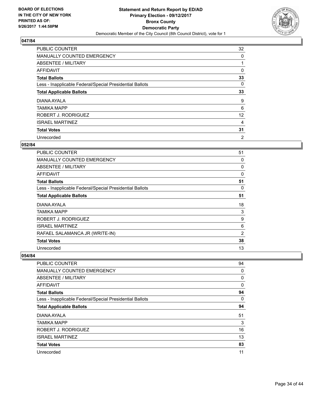

| PUBLIC COUNTER                                           | 32             |
|----------------------------------------------------------|----------------|
| MANUALLY COUNTED EMERGENCY                               | 0              |
| ABSENTEE / MILITARY                                      |                |
| AFFIDAVIT                                                | 0              |
| <b>Total Ballots</b>                                     | 33             |
| Less - Inapplicable Federal/Special Presidential Ballots | 0              |
| <b>Total Applicable Ballots</b>                          | 33             |
| DIANA AYALA                                              | 9              |
| <b>TAMIKA MAPP</b>                                       | 6              |
| ROBERT J. RODRIGUEZ                                      | 12             |
| <b>ISRAEL MARTINEZ</b>                                   | 4              |
| <b>Total Votes</b>                                       | 31             |
| Unrecorded                                               | $\overline{2}$ |

# **052/84**

| PUBLIC COUNTER                                           | 51             |
|----------------------------------------------------------|----------------|
| <b>MANUALLY COUNTED EMERGENCY</b>                        | 0              |
| ABSENTEE / MILITARY                                      | 0              |
| AFFIDAVIT                                                | 0              |
| <b>Total Ballots</b>                                     | 51             |
| Less - Inapplicable Federal/Special Presidential Ballots | 0              |
| <b>Total Applicable Ballots</b>                          | 51             |
| DIANA AYALA                                              | 18             |
| <b>TAMIKA MAPP</b>                                       | 3              |
| ROBERT J. RODRIGUEZ                                      | 9              |
| <b>ISRAEL MARTINEZ</b>                                   | 6              |
| RAFAEL SALAMANCA JR (WRITE-IN)                           | $\overline{2}$ |
| <b>Total Votes</b>                                       | 38             |
| Unrecorded                                               | 13             |

| PUBLIC COUNTER                                           | 94 |
|----------------------------------------------------------|----|
| MANUALLY COUNTED EMERGENCY                               | 0  |
| ABSENTEE / MILITARY                                      | 0  |
| AFFIDAVIT                                                | 0  |
| <b>Total Ballots</b>                                     | 94 |
| Less - Inapplicable Federal/Special Presidential Ballots | 0  |
| <b>Total Applicable Ballots</b>                          | 94 |
| DIANA AYALA                                              | 51 |
| <b>TAMIKA MAPP</b>                                       | 3  |
| ROBERT J. RODRIGUEZ                                      | 16 |
| <b>ISRAEL MARTINEZ</b>                                   | 13 |
| <b>Total Votes</b>                                       | 83 |
| Unrecorded                                               | 11 |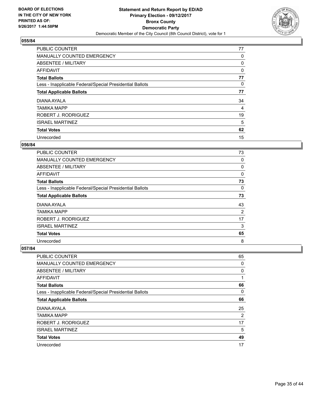

| <b>PUBLIC COUNTER</b>                                    | 77 |
|----------------------------------------------------------|----|
| MANUALLY COUNTED EMERGENCY                               | 0  |
| ABSENTEE / MILITARY                                      | 0  |
| <b>AFFIDAVIT</b>                                         | 0  |
| <b>Total Ballots</b>                                     | 77 |
| Less - Inapplicable Federal/Special Presidential Ballots | 0  |
| <b>Total Applicable Ballots</b>                          | 77 |
| DIANA AYALA                                              | 34 |
| <b>TAMIKA MAPP</b>                                       | 4  |
| ROBERT J. RODRIGUEZ                                      | 19 |
| <b>ISRAEL MARTINEZ</b>                                   | 5  |
| <b>Total Votes</b>                                       | 62 |
| Unrecorded                                               | 15 |

## **056/84**

| <b>PUBLIC COUNTER</b>                                    | 73 |
|----------------------------------------------------------|----|
| MANUALLY COUNTED EMERGENCY                               | 0  |
| ABSENTEE / MILITARY                                      | 0  |
| <b>AFFIDAVIT</b>                                         | 0  |
| <b>Total Ballots</b>                                     | 73 |
| Less - Inapplicable Federal/Special Presidential Ballots | 0  |
| <b>Total Applicable Ballots</b>                          | 73 |
| DIANA AYALA                                              | 43 |
| <b>TAMIKA MAPP</b>                                       | 2  |
| ROBERT J. RODRIGUEZ                                      | 17 |
| <b>ISRAEL MARTINEZ</b>                                   | 3  |
| <b>Total Votes</b>                                       | 65 |
| Unrecorded                                               | 8  |

| PUBLIC COUNTER                                           | 65             |
|----------------------------------------------------------|----------------|
| <b>MANUALLY COUNTED EMERGENCY</b>                        | 0              |
| ABSENTEE / MILITARY                                      | 0              |
| AFFIDAVIT                                                | 1              |
| <b>Total Ballots</b>                                     | 66             |
| Less - Inapplicable Federal/Special Presidential Ballots | 0              |
| <b>Total Applicable Ballots</b>                          | 66             |
| DIANA AYALA                                              | 25             |
| <b>TAMIKA MAPP</b>                                       | $\overline{2}$ |
| ROBERT J. RODRIGUEZ                                      | 17             |
| <b>ISRAEL MARTINEZ</b>                                   | 5              |
| <b>Total Votes</b>                                       | 49             |
| Unrecorded                                               | 17             |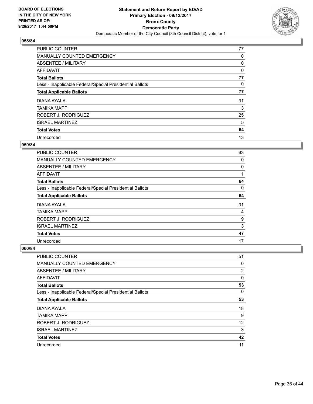

| <b>PUBLIC COUNTER</b>                                    | 77 |
|----------------------------------------------------------|----|
| MANUALLY COUNTED EMERGENCY                               | 0  |
| ABSENTEE / MILITARY                                      | 0  |
| AFFIDAVIT                                                | 0  |
| <b>Total Ballots</b>                                     | 77 |
| Less - Inapplicable Federal/Special Presidential Ballots | 0  |
| <b>Total Applicable Ballots</b>                          | 77 |
| DIANA AYALA                                              | 31 |
| <b>TAMIKA MAPP</b>                                       | 3  |
| ROBERT J. RODRIGUEZ                                      | 25 |
| <b>ISRAEL MARTINEZ</b>                                   | 5  |
| <b>Total Votes</b>                                       | 64 |
| Unrecorded                                               | 13 |

## **059/84**

| <b>PUBLIC COUNTER</b>                                    | 63 |
|----------------------------------------------------------|----|
| <b>MANUALLY COUNTED EMERGENCY</b>                        | 0  |
| ABSENTEE / MILITARY                                      | 0  |
| <b>AFFIDAVIT</b>                                         |    |
| <b>Total Ballots</b>                                     | 64 |
| Less - Inapplicable Federal/Special Presidential Ballots | 0  |
| <b>Total Applicable Ballots</b>                          | 64 |
| DIANA AYALA                                              | 31 |
| TAMIKA MAPP                                              | 4  |
| ROBERT J. RODRIGUEZ                                      | 9  |
| <b>ISRAEL MARTINEZ</b>                                   | 3  |
| <b>Total Votes</b>                                       | 47 |
| Unrecorded                                               | 17 |

| PUBLIC COUNTER                                           | 51 |
|----------------------------------------------------------|----|
| <b>MANUALLY COUNTED EMERGENCY</b>                        | 0  |
| ABSENTEE / MILITARY                                      | 2  |
| AFFIDAVIT                                                | 0  |
| <b>Total Ballots</b>                                     | 53 |
| Less - Inapplicable Federal/Special Presidential Ballots | 0  |
| <b>Total Applicable Ballots</b>                          | 53 |
| DIANA AYALA                                              | 18 |
| <b>TAMIKA MAPP</b>                                       | 9  |
| ROBERT J. RODRIGUEZ                                      | 12 |
| <b>ISRAEL MARTINEZ</b>                                   | 3  |
| <b>Total Votes</b>                                       | 42 |
| Unrecorded                                               | 11 |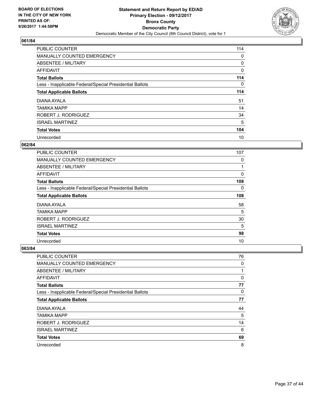

| <b>PUBLIC COUNTER</b>                                    | 114 |
|----------------------------------------------------------|-----|
| MANUALLY COUNTED EMERGENCY                               | 0   |
| ABSENTEE / MILITARY                                      | 0   |
| AFFIDAVIT                                                | 0   |
| <b>Total Ballots</b>                                     | 114 |
| Less - Inapplicable Federal/Special Presidential Ballots | 0   |
| <b>Total Applicable Ballots</b>                          | 114 |
| DIANA AYALA                                              | 51  |
| <b>TAMIKA MAPP</b>                                       | 14  |
| ROBERT J. RODRIGUEZ                                      | 34  |
| <b>ISRAEL MARTINEZ</b>                                   | 5   |
| <b>Total Votes</b>                                       | 104 |
| Unrecorded                                               | 10  |

# **062/84**

| <b>PUBLIC COUNTER</b>                                    | 107      |
|----------------------------------------------------------|----------|
| <b>MANUALLY COUNTED EMERGENCY</b>                        | 0        |
| ABSENTEE / MILITARY                                      | 1        |
| AFFIDAVIT                                                | 0        |
| <b>Total Ballots</b>                                     | 108      |
| Less - Inapplicable Federal/Special Presidential Ballots | $\Omega$ |
| <b>Total Applicable Ballots</b>                          | 108      |
| DIANA AYALA                                              | 58       |
| <b>TAMIKA MAPP</b>                                       | 5        |
| ROBERT J. RODRIGUEZ                                      | 30       |
| <b>ISRAEL MARTINEZ</b>                                   | 5        |
| <b>Total Votes</b>                                       | 98       |
| Unrecorded                                               | 10       |

| <b>PUBLIC COUNTER</b>                                    | 76 |
|----------------------------------------------------------|----|
| <b>MANUALLY COUNTED EMERGENCY</b>                        | 0  |
| ABSENTEE / MILITARY                                      | 1  |
| AFFIDAVIT                                                | 0  |
| <b>Total Ballots</b>                                     | 77 |
| Less - Inapplicable Federal/Special Presidential Ballots | 0  |
| <b>Total Applicable Ballots</b>                          | 77 |
| DIANA AYALA                                              | 44 |
| <b>TAMIKA MAPP</b>                                       | 5  |
| ROBERT J. RODRIGUEZ                                      | 14 |
| <b>ISRAEL MARTINEZ</b>                                   | 6  |
| <b>Total Votes</b>                                       | 69 |
| Unrecorded                                               | 8  |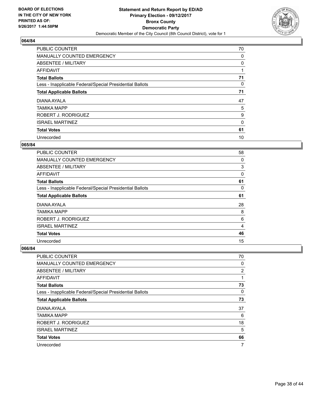

| PUBLIC COUNTER                                           | 70 |
|----------------------------------------------------------|----|
| MANUALLY COUNTED EMERGENCY                               | 0  |
| ABSENTEE / MILITARY                                      | 0  |
| AFFIDAVIT                                                |    |
| <b>Total Ballots</b>                                     | 71 |
| Less - Inapplicable Federal/Special Presidential Ballots | 0  |
| <b>Total Applicable Ballots</b>                          | 71 |
| DIANA AYALA                                              | 47 |
| <b>TAMIKA MAPP</b>                                       | 5  |
| ROBERT J. RODRIGUEZ                                      | 9  |
| <b>ISRAEL MARTINEZ</b>                                   | 0  |
| <b>Total Votes</b>                                       | 61 |
| Unrecorded                                               | 10 |

#### **065/84**

| <b>PUBLIC COUNTER</b>                                    | 58 |
|----------------------------------------------------------|----|
| MANUALLY COUNTED EMERGENCY                               | 0  |
| ABSENTEE / MILITARY                                      | 3  |
| <b>AFFIDAVIT</b>                                         | 0  |
| <b>Total Ballots</b>                                     | 61 |
| Less - Inapplicable Federal/Special Presidential Ballots | 0  |
| <b>Total Applicable Ballots</b>                          | 61 |
| DIANA AYALA                                              | 28 |
| TAMIKA MAPP                                              | 8  |
| ROBERT J. RODRIGUEZ                                      | 6  |
| <b>ISRAEL MARTINEZ</b>                                   | 4  |
| <b>Total Votes</b>                                       | 46 |
| Unrecorded                                               | 15 |

| <b>PUBLIC COUNTER</b>                                    | 70 |
|----------------------------------------------------------|----|
| MANUALLY COUNTED EMERGENCY                               | 0  |
| ABSENTEE / MILITARY                                      | 2  |
| AFFIDAVIT                                                | 1  |
| <b>Total Ballots</b>                                     | 73 |
| Less - Inapplicable Federal/Special Presidential Ballots | 0  |
| <b>Total Applicable Ballots</b>                          | 73 |
| DIANA AYALA                                              | 37 |
| <b>TAMIKA MAPP</b>                                       | 6  |
| ROBERT J. RODRIGUEZ                                      | 18 |
| <b>ISRAEL MARTINEZ</b>                                   | 5  |
| <b>Total Votes</b>                                       | 66 |
| Unrecorded                                               | 7  |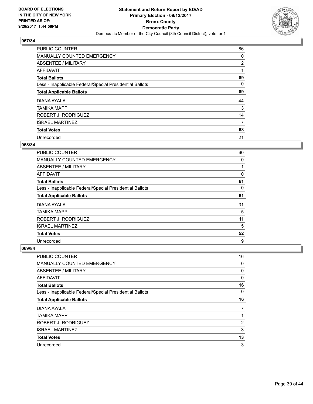

| <b>PUBLIC COUNTER</b>                                    | 86             |
|----------------------------------------------------------|----------------|
| MANUALLY COUNTED EMERGENCY                               | 0              |
| ABSENTEE / MILITARY                                      | $\overline{2}$ |
| AFFIDAVIT                                                |                |
| <b>Total Ballots</b>                                     | 89             |
| Less - Inapplicable Federal/Special Presidential Ballots | 0              |
| <b>Total Applicable Ballots</b>                          | 89             |
| DIANA AYALA                                              | 44             |
| <b>TAMIKA MAPP</b>                                       | 3              |
| ROBERT J. RODRIGUEZ                                      | 14             |
| <b>ISRAEL MARTINEZ</b>                                   | 7              |
| <b>Total Votes</b>                                       | 68             |
| Unrecorded                                               | 21             |

## **068/84**

| <b>PUBLIC COUNTER</b>                                    | 60 |
|----------------------------------------------------------|----|
| <b>MANUALLY COUNTED EMERGENCY</b>                        | 0  |
| ABSENTEE / MILITARY                                      |    |
| AFFIDAVIT                                                | 0  |
| <b>Total Ballots</b>                                     | 61 |
| Less - Inapplicable Federal/Special Presidential Ballots | 0  |
| <b>Total Applicable Ballots</b>                          | 61 |
| DIANA AYALA                                              | 31 |
| <b>TAMIKA MAPP</b>                                       | 5  |
| ROBERT J. RODRIGUEZ                                      | 11 |
| <b>ISRAEL MARTINEZ</b>                                   | 5  |
| <b>Total Votes</b>                                       | 52 |
| Unrecorded                                               | 9  |

| PUBLIC COUNTER                                           | 16 |
|----------------------------------------------------------|----|
| MANUALLY COUNTED EMERGENCY                               | 0  |
| ABSENTEE / MILITARY                                      | 0  |
| AFFIDAVIT                                                | 0  |
| <b>Total Ballots</b>                                     | 16 |
| Less - Inapplicable Federal/Special Presidential Ballots | 0  |
| <b>Total Applicable Ballots</b>                          | 16 |
| DIANA AYALA                                              | 7  |
| <b>TAMIKA MAPP</b>                                       |    |
| ROBERT J. RODRIGUEZ                                      | 2  |
| <b>ISRAEL MARTINEZ</b>                                   | 3  |
| <b>Total Votes</b>                                       | 13 |
| Unrecorded                                               | 3  |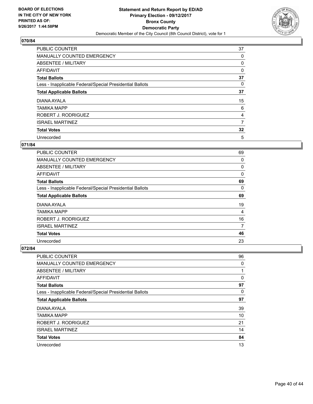

| PUBLIC COUNTER                                           | 37 |
|----------------------------------------------------------|----|
| <b>MANUALLY COUNTED EMERGENCY</b>                        | 0  |
| ABSENTEE / MILITARY                                      | 0  |
| AFFIDAVIT                                                | 0  |
| <b>Total Ballots</b>                                     | 37 |
| Less - Inapplicable Federal/Special Presidential Ballots | 0  |
| <b>Total Applicable Ballots</b>                          | 37 |
| DIANA AYALA                                              | 15 |
| <b>TAMIKA MAPP</b>                                       | 6  |
| ROBERT J. RODRIGUEZ                                      | 4  |
| <b>ISRAEL MARTINEZ</b>                                   | 7  |
| <b>Total Votes</b>                                       | 32 |
| Unrecorded                                               | 5  |

# **071/84**

| <b>PUBLIC COUNTER</b>                                    | 69 |
|----------------------------------------------------------|----|
| <b>MANUALLY COUNTED EMERGENCY</b>                        | 0  |
| ABSENTEE / MILITARY                                      | 0  |
| AFFIDAVIT                                                | 0  |
| <b>Total Ballots</b>                                     | 69 |
| Less - Inapplicable Federal/Special Presidential Ballots | 0  |
| <b>Total Applicable Ballots</b>                          | 69 |
| DIANA AYALA                                              | 19 |
| <b>TAMIKA MAPP</b>                                       | 4  |
| ROBERT J. RODRIGUEZ                                      | 16 |
| <b>ISRAEL MARTINEZ</b>                                   | 7  |
| <b>Total Votes</b>                                       | 46 |
| Unrecorded                                               | 23 |

| PUBLIC COUNTER                                           | 96 |
|----------------------------------------------------------|----|
| <b>MANUALLY COUNTED EMERGENCY</b>                        | 0  |
| ABSENTEE / MILITARY                                      | 1  |
| AFFIDAVIT                                                | 0  |
| <b>Total Ballots</b>                                     | 97 |
| Less - Inapplicable Federal/Special Presidential Ballots | 0  |
| <b>Total Applicable Ballots</b>                          | 97 |
| DIANA AYALA                                              | 39 |
| <b>TAMIKA MAPP</b>                                       | 10 |
| ROBERT J. RODRIGUEZ                                      | 21 |
| <b>ISRAEL MARTINEZ</b>                                   | 14 |
| <b>Total Votes</b>                                       | 84 |
| Unrecorded                                               | 13 |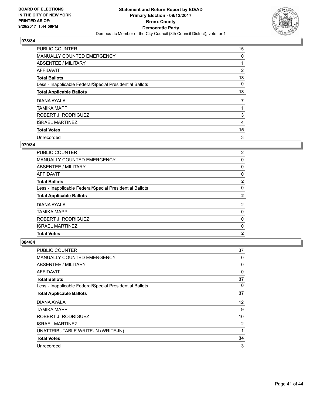

| <b>PUBLIC COUNTER</b>                                    | 15             |
|----------------------------------------------------------|----------------|
| MANUALLY COUNTED EMERGENCY                               | 0              |
| ABSENTEE / MILITARY                                      |                |
| AFFIDAVIT                                                | $\overline{2}$ |
| <b>Total Ballots</b>                                     | 18             |
| Less - Inapplicable Federal/Special Presidential Ballots | 0              |
| <b>Total Applicable Ballots</b>                          | 18             |
| DIANA AYALA                                              | 7              |
| <b>TAMIKA MAPP</b>                                       |                |
| ROBERT J. RODRIGUEZ                                      | 3              |
| <b>ISRAEL MARTINEZ</b>                                   | 4              |
| <b>Total Votes</b>                                       | 15             |
| Unrecorded                                               | 3              |

# **079/84**

| <b>PUBLIC COUNTER</b>                                    | $\mathbf{2}^{\prime}$ |
|----------------------------------------------------------|-----------------------|
| MANUALLY COUNTED EMERGENCY                               | 0                     |
| ABSENTEE / MILITARY                                      | 0                     |
| AFFIDAVIT                                                | 0                     |
| <b>Total Ballots</b>                                     | 2                     |
| Less - Inapplicable Federal/Special Presidential Ballots | 0                     |
| <b>Total Applicable Ballots</b>                          | 2                     |
| DIANA AYALA                                              | $\mathbf{2}^{\prime}$ |
| <b>TAMIKA MAPP</b>                                       | 0                     |
| ROBERT J. RODRIGUEZ                                      | 0                     |
| <b>ISRAEL MARTINEZ</b>                                   | 0                     |
| <b>Total Votes</b>                                       | $\mathbf{2}$          |

| <b>PUBLIC COUNTER</b>                                    | 37 |
|----------------------------------------------------------|----|
| MANUALLY COUNTED EMERGENCY                               | 0  |
| ABSENTEE / MILITARY                                      | 0  |
| AFFIDAVIT                                                | 0  |
| <b>Total Ballots</b>                                     | 37 |
| Less - Inapplicable Federal/Special Presidential Ballots | 0  |
| <b>Total Applicable Ballots</b>                          | 37 |
| DIANA AYALA                                              | 12 |
| <b>TAMIKA MAPP</b>                                       | 9  |
| ROBERT J. RODRIGUEZ                                      | 10 |
| <b>ISRAEL MARTINEZ</b>                                   | 2  |
| UNATTRIBUTABLE WRITE-IN (WRITE-IN)                       | 1  |
| <b>Total Votes</b>                                       | 34 |
| Unrecorded                                               | 3  |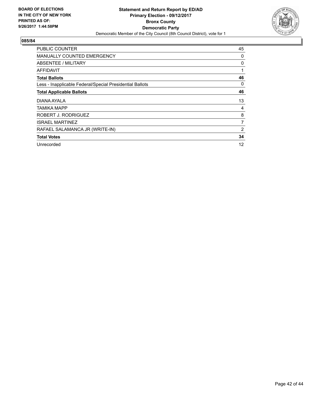

| <b>PUBLIC COUNTER</b>                                    | 45 |
|----------------------------------------------------------|----|
| <b>MANUALLY COUNTED EMERGENCY</b>                        | 0  |
| ABSENTEE / MILITARY                                      | 0  |
| AFFIDAVIT                                                | 1  |
| <b>Total Ballots</b>                                     | 46 |
| Less - Inapplicable Federal/Special Presidential Ballots | 0  |
| <b>Total Applicable Ballots</b>                          | 46 |
| DIANA AYALA                                              | 13 |
| TAMIKA MAPP                                              | 4  |
| ROBERT J. RODRIGUEZ                                      | 8  |
| <b>ISRAEL MARTINEZ</b>                                   | 7  |
| RAFAEL SALAMANCA JR (WRITE-IN)                           | 2  |
| <b>Total Votes</b>                                       | 34 |
| Unrecorded                                               | 12 |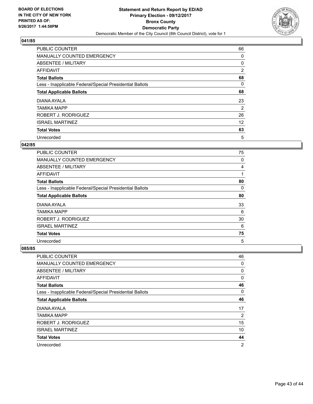

| <b>PUBLIC COUNTER</b>                                    | 66 |
|----------------------------------------------------------|----|
| <b>MANUALLY COUNTED EMERGENCY</b>                        | 0  |
| ABSENTEE / MILITARY                                      | 0  |
| <b>AFFIDAVIT</b>                                         | 2  |
| <b>Total Ballots</b>                                     | 68 |
| Less - Inapplicable Federal/Special Presidential Ballots | 0  |
| <b>Total Applicable Ballots</b>                          | 68 |
| DIANA AYALA                                              | 23 |
| <b>TAMIKA MAPP</b>                                       | 2  |
| ROBERT J. RODRIGUEZ                                      | 26 |
| <b>ISRAEL MARTINEZ</b>                                   | 12 |
| <b>Total Votes</b>                                       | 63 |
| Unrecorded                                               | 5  |

## **042/85**

| <b>PUBLIC COUNTER</b>                                    | 75 |
|----------------------------------------------------------|----|
| <b>MANUALLY COUNTED EMERGENCY</b>                        | 0  |
| ABSENTEE / MILITARY                                      | 4  |
| AFFIDAVIT                                                | 1  |
| <b>Total Ballots</b>                                     | 80 |
| Less - Inapplicable Federal/Special Presidential Ballots | 0  |
| <b>Total Applicable Ballots</b>                          | 80 |
| DIANA AYALA                                              | 33 |
| <b>TAMIKA MAPP</b>                                       | 6  |
| ROBERT J. RODRIGUEZ                                      | 30 |
| <b>ISRAEL MARTINEZ</b>                                   | 6  |
| <b>Total Votes</b>                                       | 75 |
| Unrecorded                                               | 5  |

| PUBLIC COUNTER                                           | 46             |
|----------------------------------------------------------|----------------|
| MANUALLY COUNTED EMERGENCY                               | 0              |
| ABSENTEE / MILITARY                                      | 0              |
| AFFIDAVIT                                                | 0              |
| <b>Total Ballots</b>                                     | 46             |
| Less - Inapplicable Federal/Special Presidential Ballots | 0              |
| <b>Total Applicable Ballots</b>                          | 46             |
| DIANA AYALA                                              | 17             |
| <b>TAMIKA MAPP</b>                                       | 2              |
| ROBERT J. RODRIGUEZ                                      | 15             |
| <b>ISRAEL MARTINEZ</b>                                   | 10             |
| <b>Total Votes</b>                                       | 44             |
| Unrecorded                                               | $\overline{2}$ |